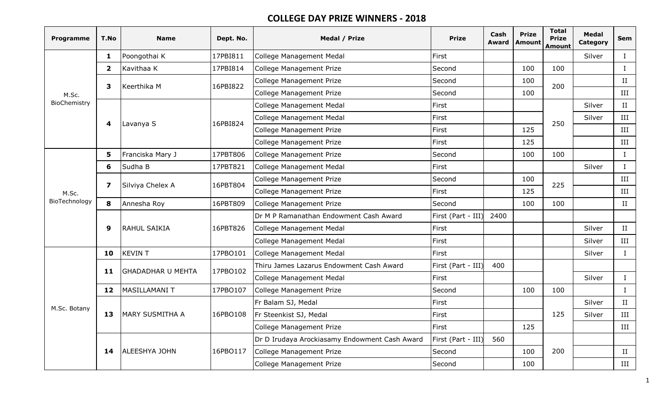| <b>Programme</b> | T.No           | <b>Name</b>              | Dept. No. | Medal / Prize                                 | <b>Prize</b>       | Cash<br><b>Award</b> | <b>Prize</b><br>Amount | <b>Total</b><br><b>Prize</b><br><b>Amount</b> | <b>Medal</b><br>Category | Sem          |
|------------------|----------------|--------------------------|-----------|-----------------------------------------------|--------------------|----------------------|------------------------|-----------------------------------------------|--------------------------|--------------|
|                  | 1              | Poongothai K             | 17PBI811  | <b>College Management Medal</b>               | First              |                      |                        |                                               | Silver                   | $\mathbf{I}$ |
|                  | $\overline{2}$ | Kavithaa K               | 17PBI814  | <b>College Management Prize</b>               | Second             |                      | 100                    | 100                                           |                          | $\bf{I}$     |
|                  | 3              | Keerthika M              | 16PBI822  | <b>College Management Prize</b>               | Second             |                      | 100                    | 200                                           |                          | II           |
| M.Sc.            |                |                          |           | <b>College Management Prize</b>               | Second             |                      | 100                    |                                               |                          | III          |
| BioChemistry     |                |                          |           | <b>College Management Medal</b>               | First              |                      |                        |                                               | Silver                   | II           |
|                  | 4              | Lavanya S                | 16PBI824  | <b>College Management Medal</b>               | First              |                      |                        | 250                                           | Silver                   | III          |
|                  |                |                          |           | <b>College Management Prize</b>               | First              |                      | 125                    |                                               |                          | III          |
|                  |                |                          |           | <b>College Management Prize</b>               | First              |                      | 125                    |                                               |                          | III          |
|                  | 5              | Franciska Mary J         | 17PBT806  | <b>College Management Prize</b>               | Second             |                      | 100                    | 100                                           |                          | $\mathbf{I}$ |
|                  | 6              | Sudha B                  | 17PBT821  | <b>College Management Medal</b>               | First              |                      |                        |                                               | Silver                   | $\mathbf I$  |
| M.Sc.            | 7              | Silviya Chelex A         | 16PBT804  | <b>College Management Prize</b>               | Second             |                      | 100                    | 225                                           |                          | III          |
|                  |                |                          |           | <b>College Management Prize</b>               | First              |                      | 125                    |                                               |                          | III          |
| BioTechnology    | 8              | Annesha Roy              | 16PBT809  | <b>College Management Prize</b>               | Second             |                      | 100                    | 100                                           |                          | $_{\rm II}$  |
|                  |                |                          |           | Dr M P Ramanathan Endowment Cash Award        | First (Part - III) | 2400                 |                        |                                               |                          |              |
|                  | 9              | RAHUL SAIKIA             | 16PBT826  | <b>College Management Medal</b>               | First              |                      |                        |                                               | Silver                   | II           |
|                  |                |                          |           | <b>College Management Medal</b>               | First              |                      |                        |                                               | Silver                   | III          |
|                  | 10             | <b>KEVIN T</b>           | 17PBO101  | <b>College Management Medal</b>               | First              |                      |                        |                                               | Silver                   | $\bf{I}$     |
|                  | 11             | <b>GHADADHAR U MEHTA</b> | 17PBO102  | Thiru James Lazarus Endowment Cash Award      | First (Part - III) | 400                  |                        |                                               |                          |              |
|                  |                |                          |           | <b>College Management Medal</b>               | First              |                      |                        |                                               | Silver                   | $\mathbf{I}$ |
|                  | 12             | <b>MASILLAMANI T</b>     | 17PBO107  | <b>College Management Prize</b>               | Second             |                      | 100                    | 100                                           |                          | $\mathbf{I}$ |
| M.Sc. Botany     |                | MARY SUSMITHA A<br>13    |           | Fr Balam SJ, Medal                            | First              |                      |                        |                                               | Silver                   | II           |
|                  |                |                          | 16PBO108  | Fr Steenkist SJ, Medal                        | First              |                      |                        | 125                                           | Silver                   | III          |
|                  |                |                          |           | <b>College Management Prize</b>               | First              |                      | 125                    |                                               |                          | III          |
|                  |                |                          |           | Dr D Irudaya Arockiasamy Endowment Cash Award | First (Part - III) | 560                  |                        |                                               |                          |              |
|                  | 14             | ALEESHYA JOHN            | 16PBO117  | <b>College Management Prize</b>               | Second             |                      | 100                    | 200                                           |                          | II           |
|                  |                |                          |           | College Management Prize                      | Second             |                      | 100                    |                                               |                          | III          |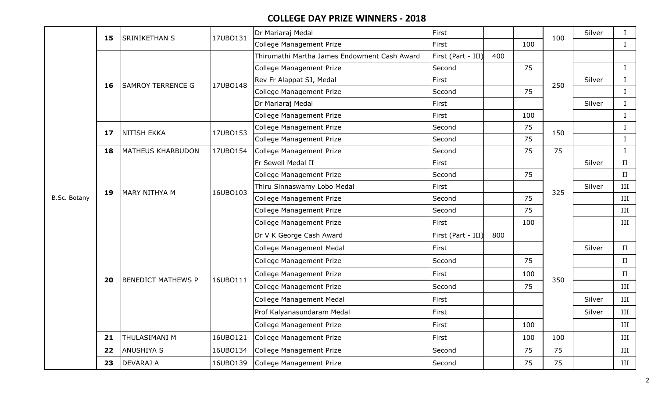|              | 15 | <b>SRINIKETHAN S</b>      | 17UBO131 | Dr Mariaraj Medal                            | First              |     |     | 100 | Silver | $\bf{I}$    |
|--------------|----|---------------------------|----------|----------------------------------------------|--------------------|-----|-----|-----|--------|-------------|
|              |    |                           |          | College Management Prize                     | First              |     | 100 |     |        | $\bf{I}$    |
|              |    |                           |          | Thirumathi Martha James Endowment Cash Award | First (Part - III) | 400 |     |     |        |             |
|              |    |                           |          | College Management Prize                     | Second             |     | 75  |     |        | $\bf{I}$    |
|              | 16 | <b>SAMROY TERRENCE G</b>  | 17UB0148 | Rev Fr Alappat SJ, Medal                     | First              |     |     | 250 | Silver | $\bf{I}$    |
|              |    |                           |          | College Management Prize                     | Second             |     | 75  |     |        | $\bf I$     |
|              |    |                           |          | Dr Mariaraj Medal                            | First              |     |     |     | Silver | $\rm I$     |
|              |    |                           |          | College Management Prize                     | First              |     | 100 |     |        | $\bf{I}$    |
|              | 17 | <b>NITISH EKKA</b>        | 17UBO153 | College Management Prize                     | Second             |     | 75  | 150 |        | $\rm I$     |
|              |    |                           |          | College Management Prize                     | Second             |     | 75  |     |        |             |
|              | 18 | <b>MATHEUS KHARBUDON</b>  | 17UB0154 | College Management Prize                     | Second             |     | 75  | 75  |        | $\rm I$     |
|              |    |                           |          | Fr Sewell Medal II                           | First              |     |     |     | Silver | $\rm II$    |
|              |    |                           |          | College Management Prize                     | Second<br>First    |     | 75  |     |        | $\rm II$    |
|              | 19 | <b>MARY NITHYA M</b>      | 16UBO103 | Thiru Sinnaswamy Lobo Medal                  |                    |     |     | 325 | Silver | III         |
| B.Sc. Botany |    |                           |          | College Management Prize                     | Second             |     | 75  |     |        | III         |
|              |    |                           |          | College Management Prize                     | Second             |     | 75  |     |        | III         |
|              |    |                           |          | <b>College Management Prize</b>              | First              |     | 100 |     |        | III         |
|              |    |                           |          | Dr V K George Cash Award                     | First (Part - III) | 800 |     |     |        |             |
|              |    |                           |          | College Management Medal                     | First              |     |     |     | Silver | $_{\rm II}$ |
|              |    |                           |          | College Management Prize                     | Second             |     | 75  |     |        | $\rm II$    |
|              |    |                           |          | <b>College Management Prize</b>              | First              |     | 100 |     |        | II          |
|              | 20 | <b>BENEDICT MATHEWS P</b> | 16UBO111 | College Management Prize                     | Second             |     | 75  | 350 |        | III         |
|              |    |                           |          | College Management Medal                     | First              |     |     |     | Silver | III         |
|              |    |                           |          | Prof Kalyanasundaram Medal                   | First              |     |     |     | Silver | III         |
|              |    |                           |          | <b>College Management Prize</b>              | First              |     | 100 |     |        | III         |
|              | 21 | <b>THULASIMANI M</b>      | 16UBO121 | <b>College Management Prize</b>              | First              |     | 100 | 100 |        | III         |
|              | 22 | <b>ANUSHIYA S</b>         | 16UBO134 | <b>College Management Prize</b>              | Second             |     | 75  | 75  |        | III         |
|              | 23 | <b>DEVARAJ A</b>          | 16UBO139 | <b>College Management Prize</b>              | Second             |     | 75  | 75  |        | III         |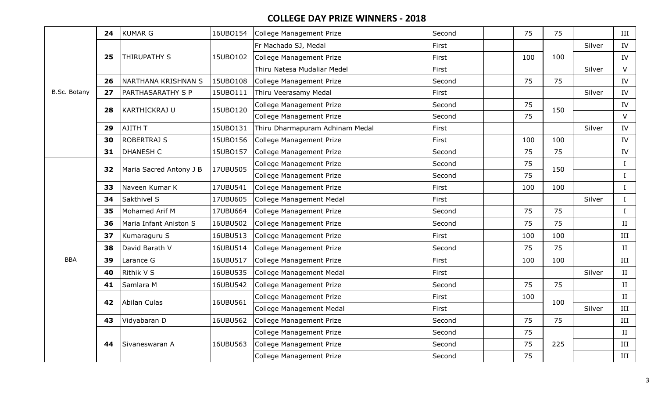|              | 24 | <b>KUMAR G</b>          | 16UBO154 | College Management Prize        | Second | 75  | 75  |        | III         |
|--------------|----|-------------------------|----------|---------------------------------|--------|-----|-----|--------|-------------|
|              |    |                         |          | Fr Machado SJ, Medal            | First  |     |     | Silver | IV          |
|              | 25 | <b>THIRUPATHY S</b>     | 15UBO102 | College Management Prize        | First  | 100 | 100 |        | IV          |
|              |    |                         |          | Thiru Natesa Mudaliar Medel     | First  |     |     | Silver | $\vee$      |
|              | 26 | NARTHANA KRISHNAN S     | 15UBO108 | College Management Prize        | Second | 75  | 75  |        | IV          |
| B.Sc. Botany | 27 | PARTHASARATHY S P       | 15UBO111 | Thiru Veerasamy Medal           | First  |     |     | Silver | IV          |
|              | 28 | <b>KARTHICKRAJ U</b>    | 15UBO120 | College Management Prize        | Second | 75  | 150 |        | IV          |
|              |    |                         |          | <b>College Management Prize</b> | Second | 75  |     |        | $\vee$      |
|              | 29 | AJITH T                 | 15UBO131 | Thiru Dharmapuram Adhinam Medal | First  |     |     | Silver | IV          |
|              | 30 | <b>ROBERTRAJ S</b>      | 15UBO156 | College Management Prize        | First  | 100 | 100 |        | IV          |
|              | 31 | <b>DHANESH C</b>        | 15UBO157 | College Management Prize        | Second | 75  | 75  |        | IV          |
|              | 32 | Maria Sacred Antony J B | 17UBU505 | <b>College Management Prize</b> | Second | 75  | 150 |        | $\rm I$     |
|              |    |                         |          | <b>College Management Prize</b> | Second | 75  |     |        | $\rm I$     |
|              | 33 | Naveen Kumar K          | 17UBU541 | College Management Prize        | First  | 100 | 100 |        | $\mathbf I$ |
|              | 34 | Sakthivel S             | 17UBU605 | College Management Medal        | First  |     |     | Silver | $\bf{I}$    |
|              | 35 | Mohamed Arif M          | 17UBU664 | College Management Prize        | Second | 75  | 75  |        | $\mathbf I$ |
|              | 36 | Maria Infant Aniston S  | 16UBU502 | College Management Prize        | Second | 75  | 75  |        | II          |
|              | 37 | Kumaraguru S            | 16UBU513 | College Management Prize        | First  | 100 | 100 |        | III         |
|              | 38 | David Barath V          | 16UBU514 | <b>College Management Prize</b> | Second | 75  | 75  |        | $\;$ II     |
| <b>BBA</b>   | 39 | Larance G               | 16UBU517 | College Management Prize        | First  | 100 | 100 |        | III         |
|              | 40 | Rithik V S              | 16UBU535 | College Management Medal        | First  |     |     | Silver | II          |
|              | 41 | Samlara M               | 16UBU542 | <b>College Management Prize</b> | Second | 75  | 75  |        | $\;$ II     |
|              |    |                         |          | College Management Prize        | First  | 100 |     |        | $\;$ II     |
|              | 42 | Abilan Culas            | 16UBU561 | College Management Medal        | First  |     | 100 | Silver | $\rm III$   |
|              | 43 | Vidyabaran D            | 16UBU562 | <b>College Management Prize</b> | Second | 75  | 75  |        | III         |
|              |    |                         |          | College Management Prize        | Second | 75  |     |        | $\rm II$    |
|              | 44 | Sivaneswaran A          | 16UBU563 | College Management Prize        | Second | 75  | 225 |        | III         |
|              |    |                         |          | College Management Prize        | Second | 75  |     |        | III         |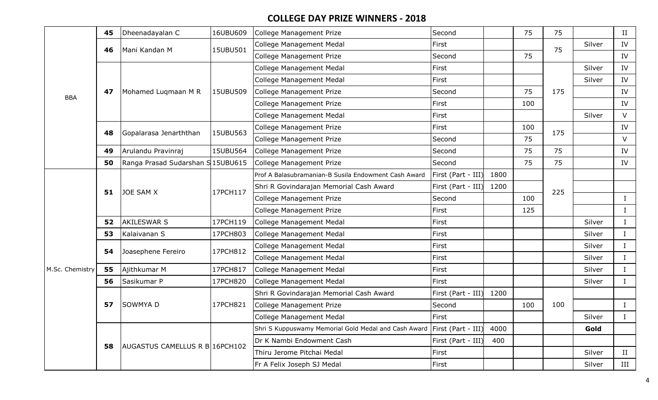|                 | 45 | Dheenadayalan C                  | 16UBU609 | College Management Prize                                                | Second             |      | 75  | 75  |        | $_{\rm II}$  |
|-----------------|----|----------------------------------|----------|-------------------------------------------------------------------------|--------------------|------|-----|-----|--------|--------------|
|                 | 46 | Mani Kandan M                    | 15UBU501 | <b>College Management Medal</b>                                         | First              |      |     | 75  | Silver | IV           |
|                 |    |                                  |          | College Management Prize                                                | Second             |      | 75  |     |        | IV           |
|                 |    |                                  |          | <b>College Management Medal</b>                                         | First              |      |     |     | Silver | IV           |
|                 |    |                                  |          | <b>College Management Medal</b>                                         | First              |      |     |     | Silver | IV           |
| <b>BBA</b>      | 47 | Mohamed Lugmaan M R              | 15UBU509 | <b>College Management Prize</b>                                         | Second             |      | 75  | 175 |        | IV           |
|                 |    |                                  |          | <b>College Management Prize</b>                                         | First              |      | 100 |     |        | IV           |
|                 |    |                                  |          | College Management Medal                                                | First              |      |     |     | Silver | $\vee$       |
|                 | 48 | Gopalarasa Jenarththan           | 15UBU563 | College Management Prize                                                | First              |      | 100 | 175 |        | IV           |
|                 |    |                                  |          | <b>College Management Prize</b>                                         | Second             |      | 75  |     |        | $\vee$       |
|                 | 49 | Arulandu Pravinraj               | 15UBU564 | College Management Prize                                                | Second             |      | 75  | 75  |        | IV           |
|                 | 50 | Ranga Prasad Sudarshan S15UBU615 |          | <b>College Management Prize</b>                                         | Second             |      | 75  | 75  |        | IV           |
|                 |    |                                  |          | Prof A Balasubramanian-B Susila Endowment Cash Award                    | First (Part - III) | 1800 |     |     |        |              |
|                 | 51 | <b>JOE SAM X</b>                 | 17PCH117 | Shri R Govindarajan Memorial Cash Award                                 | First (Part - III) | 1200 |     | 225 |        |              |
|                 |    |                                  |          | College Management Prize                                                | Second             |      | 100 |     |        | $\bf{I}$     |
|                 |    |                                  |          | <b>College Management Prize</b>                                         | First              |      | 125 |     |        | $\bf{I}$     |
|                 | 52 | <b>AKILESWAR S</b>               | 17PCH119 | College Management Medal                                                | First              |      |     |     | Silver | $\mathbf I$  |
|                 | 53 | Kalaivanan S                     | 17PCH803 | College Management Medal                                                | First              |      |     |     | Silver | $\mathbf I$  |
|                 | 54 | Joasephene Fereiro               | 17PCH812 | <b>College Management Medal</b>                                         | First              |      |     |     | Silver | $\mathbf I$  |
|                 |    |                                  |          | College Management Medal                                                | First              |      |     |     | Silver | $\mathbf{I}$ |
| M.Sc. Chemistry | 55 | Ajithkumar M                     | 17PCH817 | College Management Medal                                                | First              |      |     |     | Silver | $\bf{I}$     |
|                 | 56 | Sasikumar P                      | 17PCH820 | College Management Medal                                                | First              |      |     |     | Silver | L            |
|                 |    |                                  |          | Shri R Govindarajan Memorial Cash Award                                 | First (Part - III) | 1200 |     |     |        |              |
|                 | 57 | <b>SOWMYA D</b>                  | 17PCH821 | <b>College Management Prize</b>                                         | Second             |      | 100 | 100 |        | Ι.           |
|                 |    |                                  |          | College Management Medal                                                | First              |      |     |     | Silver |              |
|                 |    |                                  |          | Shri S Kuppuswamy Memorial Gold Medal and Cash Award First (Part - III) |                    | 4000 |     |     | Gold   |              |
|                 | 58 | AUGASTUS CAMELLUS R B 16PCH102   |          | Dr K Nambi Endowment Cash                                               | First (Part - III) | 400  |     |     |        |              |
|                 |    |                                  |          | Thiru Jerome Pitchai Medal                                              | First              |      |     |     | Silver | II           |
|                 |    |                                  |          | Fr A Felix Joseph SJ Medal                                              | First              |      |     |     | Silver | III          |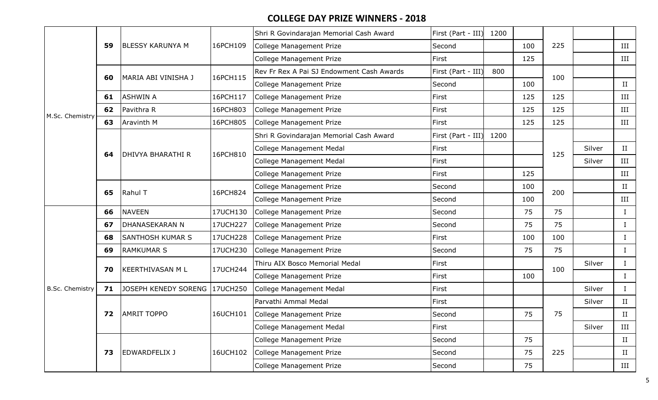|                        |    |                         |          | Shri R Govindarajan Memorial Cash Award   | First (Part - III) | 1200 |     |     |        |             |
|------------------------|----|-------------------------|----------|-------------------------------------------|--------------------|------|-----|-----|--------|-------------|
|                        | 59 | <b>BLESSY KARUNYA M</b> | 16PCH109 | <b>College Management Prize</b>           | Second             |      | 100 | 225 |        | III         |
|                        |    |                         |          | College Management Prize                  | First              |      | 125 |     |        | III         |
|                        | 60 | MARIA ABI VINISHA J     | 16PCH115 | Rev Fr Rex A Pai SJ Endowment Cash Awards | First (Part - III) | 800  |     | 100 |        |             |
|                        |    |                         |          | College Management Prize                  | Second             |      | 100 |     |        | $\rm II$    |
|                        | 61 | <b>ASHWIN A</b>         | 16PCH117 | College Management Prize                  | First              |      | 125 | 125 |        | III         |
| M.Sc. Chemistry        | 62 | Pavithra R              | 16PCH803 | College Management Prize                  | First              |      | 125 | 125 |        | III         |
|                        | 63 | Aravinth M              | 16PCH805 | College Management Prize                  | First              |      | 125 | 125 |        | III         |
|                        |    |                         |          | Shri R Govindarajan Memorial Cash Award   | First (Part - III) | 1200 |     |     |        |             |
|                        | 64 | DHIVYA BHARATHI R       | 16PCH810 | College Management Medal                  | First              |      |     | 125 | Silver | $_{\rm II}$ |
|                        |    |                         |          | College Management Medal                  | First              |      |     |     | Silver | $\rm III$   |
|                        |    |                         |          | <b>College Management Prize</b>           | First              |      | 125 |     |        | III         |
|                        | 65 | Rahul T                 | 16PCH824 | College Management Prize                  | Second             |      | 100 | 200 |        | II          |
|                        |    |                         |          | College Management Prize                  | Second             |      | 100 |     |        | III         |
|                        | 66 | <b>NAVEEN</b>           | 17UCH130 | College Management Prize                  | Second             |      | 75  | 75  |        | $\mathbf I$ |
|                        | 67 | DHANASEKARAN N          | 17UCH227 | College Management Prize                  | Second             |      | 75  | 75  |        | $\bf{I}$    |
|                        | 68 | <b>SANTHOSH KUMAR S</b> | 17UCH228 | College Management Prize                  | First              |      | 100 | 100 |        | $\bf{I}$    |
|                        | 69 | <b>RAMKUMAR S</b>       | 17UCH230 | College Management Prize                  | Second             |      | 75  | 75  |        | I           |
|                        | 70 | <b>KEERTHIVASAN ML</b>  | 17UCH244 | Thiru AIX Bosco Memorial Medal            | First              |      |     | 100 | Silver | Ι           |
|                        |    |                         |          | College Management Prize                  | First              |      | 100 |     |        | $\bf{I}$    |
| <b>B.Sc. Chemistry</b> | 71 | JOSEPH KENEDY SORENG    | 17UCH250 | College Management Medal                  | First              |      |     |     | Silver | $\bf{I}$    |
|                        |    |                         |          | Parvathi Ammal Medal                      | First              |      |     |     | Silver | II          |
|                        | 72 | <b>AMRIT TOPPO</b>      | 16UCH101 | College Management Prize                  | Second             |      | 75  | 75  |        | П           |
|                        |    |                         |          | College Management Medal                  | First              |      |     |     | Silver | III         |
|                        |    |                         |          | College Management Prize                  | Second             |      | 75  |     |        | II          |
|                        | 73 | EDWARDFELIX J           | 16UCH102 | College Management Prize                  | Second             |      | 75  | 225 |        | II          |
|                        |    |                         |          | College Management Prize                  | Second             |      | 75  |     |        | III         |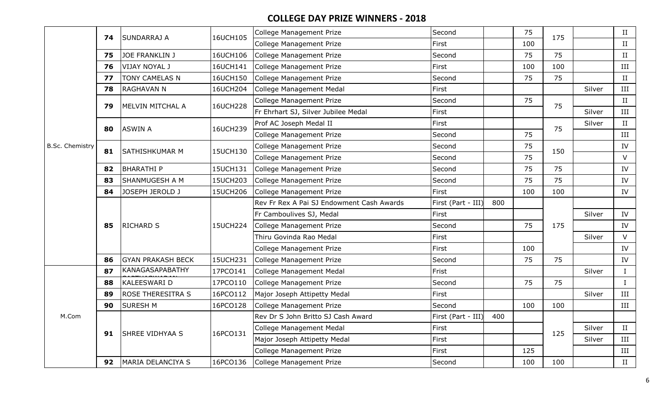|                        |    | SUNDARRAJ A              | 16UCH105 | College Management Prize                  | Second             |     | 75  | 175 |        | $\rm II$   |
|------------------------|----|--------------------------|----------|-------------------------------------------|--------------------|-----|-----|-----|--------|------------|
|                        | 74 |                          |          | <b>College Management Prize</b>           | First              |     | 100 |     |        | II         |
|                        | 75 | <b>JOE FRANKLIN J</b>    | 16UCH106 | College Management Prize                  | Second             |     | 75  | 75  |        | II         |
|                        | 76 | <b>VIJAY NOYAL J</b>     | 16UCH141 | College Management Prize                  | First              |     | 100 | 100 |        | $\rm III$  |
|                        | 77 | TONY CAMELAS N           | 16UCH150 | College Management Prize                  | Second             |     | 75  | 75  |        | II         |
|                        | 78 | <b>RAGHAVAN N</b>        | 16UCH204 | College Management Medal                  | First              |     |     |     | Silver | $\rm III$  |
|                        | 79 | MELVIN MITCHAL A         | 16UCH228 | <b>College Management Prize</b>           | Second             |     | 75  | 75  |        | II         |
|                        |    |                          |          | Fr Ehrhart SJ, Silver Jubilee Medal       | First              |     |     |     | Silver | $\rm III$  |
|                        | 80 | <b>ASWIN A</b>           | 16UCH239 | Prof AC Joseph Medal II                   | First              |     |     | 75  | Silver | II         |
|                        |    |                          |          | <b>College Management Prize</b>           | Second             |     | 75  |     |        | $\rm III$  |
| <b>B.Sc. Chemistry</b> | 81 | SATHISHKUMAR M           | 15UCH130 | College Management Prize                  | Second             |     | 75  | 150 |        | ${\rm IV}$ |
|                        |    |                          |          | College Management Prize                  | Second             |     | 75  |     |        | $\vee$     |
|                        | 82 | <b>BHARATHI P</b>        | 15UCH131 | College Management Prize                  | Second             |     | 75  | 75  |        | IV         |
|                        | 83 | SHANMUGESH A M           | 15UCH203 | College Management Prize                  | Second             |     | 75  | 75  |        | IV         |
|                        | 84 | JOSEPH JEROLD J          | 15UCH206 | College Management Prize                  | First              |     | 100 | 100 |        | IV         |
|                        |    | <b>RICHARD S</b>         |          | Rev Fr Rex A Pai SJ Endowment Cash Awards | First (Part - III) | 800 |     |     |        |            |
|                        |    |                          |          | Fr Camboulives SJ, Medal                  | First              |     |     |     | Silver | IV         |
|                        | 85 |                          | 15UCH224 | College Management Prize                  | Second             | 75  |     | 175 |        | IV         |
|                        |    |                          |          | Thiru Govinda Rao Medal                   | First              |     |     |     | Silver | V          |
|                        |    |                          |          | College Management Prize                  | First              |     | 100 |     |        | IV         |
|                        | 86 | <b>GYAN PRAKASH BECK</b> | 15UCH231 | <b>College Management Prize</b>           | Second             |     | 75  | 75  |        | IV         |
|                        |    |                          |          |                                           |                    |     |     |     |        |            |
|                        | 87 | KANAGASAPABATHY          | 17PCO141 | College Management Medal                  | Frist              |     |     |     | Silver | $\bf{I}$   |
|                        | 88 | KALEESWARI D             | 17PCO110 | College Management Prize                  | Second             |     | 75  | 75  |        | $\bf{I}$   |
|                        | 89 | <b>ROSE THERESITRA S</b> | 16PCO112 | Major Joseph Attipetty Medal              | First              |     |     |     | Silver | $\rm III$  |
|                        | 90 | <b>SURESH M</b>          | 16PCO128 | <b>College Management Prize</b>           | Second             |     | 100 | 100 |        | III        |
| M.Com                  |    |                          |          | Rev Dr S John Britto SJ Cash Award        | First (Part - III) | 400 |     |     |        |            |
|                        |    |                          |          | <b>College Management Medal</b>           | First              |     |     |     | Silver | II         |
|                        | 91 | <b>SHREE VIDHYAA S</b>   | 16PCO131 | Major Joseph Attipetty Medal              | First              |     |     | 125 | Silver | III        |
|                        |    |                          |          | <b>College Management Prize</b>           | First              |     | 125 |     |        | III        |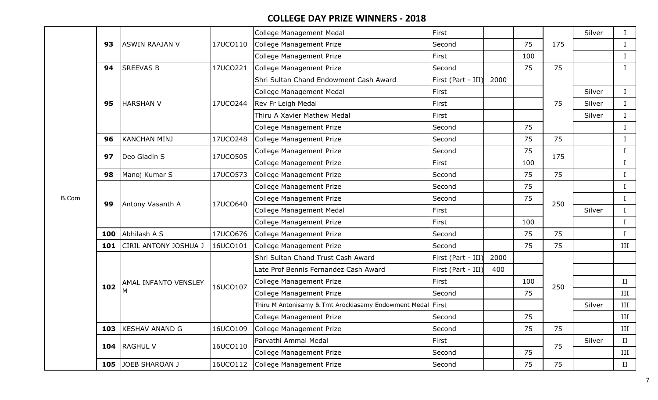|              |     |                              |          | <b>College Management Medal</b>                            | First              |      |     |     | Silver |              |
|--------------|-----|------------------------------|----------|------------------------------------------------------------|--------------------|------|-----|-----|--------|--------------|
|              | 93  | <b>ASWIN RAAJAN V</b>        | 17UCO110 | College Management Prize                                   | Second             |      | 75  | 175 |        | $\bf{I}$     |
|              |     |                              |          | <b>College Management Prize</b>                            | First              |      | 100 |     |        | Ι            |
|              | 94  | <b>SREEVAS B</b>             | 17UCO221 | College Management Prize                                   | Second             |      | 75  | 75  |        | Ι.           |
|              |     |                              |          | Shri Sultan Chand Endowment Cash Award                     | First (Part - III) | 2000 |     |     |        |              |
|              |     |                              |          | <b>College Management Medal</b>                            | First              |      |     |     | Silver | $\mathbf I$  |
|              | 95  | <b>HARSHAN V</b>             | 17UCO244 | Rev Fr Leigh Medal                                         | First              |      |     | 75  | Silver | $\mathbf I$  |
|              |     |                              |          | Thiru A Xavier Mathew Medal                                | First              |      |     |     | Silver | $\rm I$      |
|              |     |                              |          | College Management Prize                                   | Second             |      | 75  |     |        | $\mathbf I$  |
|              | 96  | <b>KANCHAN MINJ</b>          | 17UCO248 | College Management Prize                                   | Second             |      | 75  | 75  |        | $\rm I$      |
|              | 97  | Deo Gladin S                 | 17UCO505 | <b>College Management Prize</b>                            | Second             |      | 75  | 175 |        | $\mathbf I$  |
|              |     |                              |          | <b>College Management Prize</b>                            | First              |      | 100 |     |        | $\mathbf{I}$ |
|              | 98  | Manoj Kumar S                | 17UCO573 | College Management Prize                                   | Second             |      | 75  | 75  |        | $\mathbf I$  |
|              |     |                              |          | <b>College Management Prize</b>                            | Second             |      | 75  |     |        | $\bf{I}$     |
| <b>B.Com</b> | 99  | Antony Vasanth A             | 17UCO640 | College Management Prize                                   | Second             |      | 75  | 250 |        | $\mathbf I$  |
|              |     |                              |          | <b>College Management Medal</b>                            | First              |      |     |     | Silver | $\mathbf I$  |
|              |     |                              |          | <b>College Management Prize</b>                            | First              |      | 100 |     |        | $\mathbf I$  |
|              | 100 | Abhilash A S                 | 17UCO676 | College Management Prize                                   | Second             |      | 75  | 75  |        | $\bf{I}$     |
|              | 101 | <b>CIRIL ANTONY JOSHUA J</b> | 16UCO101 | College Management Prize                                   | Second             |      | 75  | 75  |        | III          |
|              |     |                              |          | Shri Sultan Chand Trust Cash Award                         | First (Part - III) | 2000 |     |     |        |              |
|              |     |                              |          | Late Prof Bennis Fernandez Cash Award                      | First (Part - III) | 400  |     |     |        |              |
|              | 102 | <b>AMAL INFANTO VENSLEY</b>  |          | College Management Prize                                   | First              |      | 100 | 250 |        | II           |
|              |     |                              | 16UCO107 | College Management Prize                                   | Second             |      | 75  |     |        | III          |
|              |     |                              |          | Thiru M Antonisamy & Tmt Arockiasamy Endowment Medal First |                    |      |     |     | Silver | III          |
|              |     |                              |          | College Management Prize                                   | Second             |      | 75  |     |        | III          |
|              | 103 | <b>KESHAV ANAND G</b>        | 16UCO109 | <b>College Management Prize</b>                            | Second             |      | 75  | 75  |        | III          |
|              |     | 104 RAGHUL V                 | 16UCO110 | Parvathi Ammal Medal                                       | First              |      |     | 75  | Silver | II           |
|              |     |                              |          | <b>College Management Prize</b>                            | Second             |      | 75  |     |        | III          |
|              | 105 | JOEB SHAROAN J               | 16UCO112 | College Management Prize                                   | Second             |      | 75  | 75  |        | II           |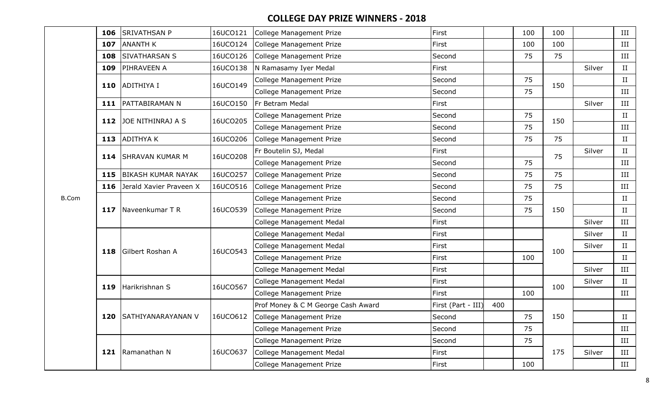|              | 106 | <b>SRIVATHSAN P</b>       | 16UCO121 | College Management Prize           | First              |     | 100 | 100 |        | III                  |
|--------------|-----|---------------------------|----------|------------------------------------|--------------------|-----|-----|-----|--------|----------------------|
|              | 107 | <b>ANANTH K</b>           | 16UCO124 | College Management Prize           | First              |     | 100 | 100 |        | III                  |
|              | 108 | <b>SIVATHARSAN S</b>      | 16UCO126 | College Management Prize           | Second             |     | 75  | 75  |        | III                  |
|              | 109 | <b>PIHRAVEEN A</b>        | 16UCO138 | N Ramasamy Iyer Medal              | First              |     |     |     | Silver | II                   |
|              | 110 | <b>ADITHIYA I</b>         | 16UCO149 | <b>College Management Prize</b>    | Second             |     | 75  | 150 |        | II                   |
|              |     |                           |          | College Management Prize           | Second             |     | 75  |     |        | III                  |
|              |     | 111   PATTABIRAMAN N      | 16UCO150 | Fr Betram Medal                    | First              |     |     |     | Silver | III                  |
|              | 112 | JOE NITHINRAJ A S         | 16UCO205 | <b>College Management Prize</b>    | Second             |     | 75  | 150 |        | II                   |
|              |     |                           |          | College Management Prize           | Second             |     | 75  |     |        | III                  |
|              | 113 | <b>ADITHYAK</b>           | 16UCO206 | <b>College Management Prize</b>    | Second             |     | 75  | 75  |        | II                   |
|              | 114 | <b>SHRAVAN KUMAR M</b>    | 16UCO208 | Fr Boutelin SJ, Medal              | First              |     |     | 75  | Silver | II                   |
|              |     |                           |          | College Management Prize           | Second             |     | 75  |     |        | III                  |
|              | 115 | <b>BIKASH KUMAR NAYAK</b> | 16UCO257 | College Management Prize           | Second             |     | 75  | 75  |        | III                  |
|              | 116 | Jerald Xavier Praveen X   | 16UCO516 | <b>College Management Prize</b>    | Second             |     | 75  | 75  |        | III                  |
| <b>B.Com</b> |     |                           |          | <b>College Management Prize</b>    | Second             |     | 75  |     |        | II                   |
|              | 117 | Naveenkumar T R           | 16UCO539 | <b>College Management Prize</b>    | Second             |     | 75  | 150 |        | II                   |
|              |     |                           |          | <b>College Management Medal</b>    | First              |     |     |     | Silver | III                  |
|              |     |                           |          | College Management Medal           | First              |     |     |     | Silver | $\scriptstyle\rm II$ |
|              | 118 | Gilbert Roshan A          | 16UCO543 | <b>College Management Medal</b>    | First              |     |     | 100 | Silver | $\scriptstyle\rm II$ |
|              |     |                           |          | <b>College Management Prize</b>    | First              |     | 100 |     |        | II                   |
|              |     |                           |          | <b>College Management Medal</b>    | First              |     |     |     | Silver | III                  |
|              | 119 | Harikrishnan S            | 16UCO567 | College Management Medal           | First              |     |     | 100 | Silver | $\scriptstyle\rm II$ |
|              |     |                           |          | <b>College Management Prize</b>    | First              |     | 100 |     |        | III                  |
|              |     |                           |          | Prof Money & C M George Cash Award | First (Part - III) | 400 |     |     |        |                      |
|              |     | 120 SATHIYANARAYANAN V    | 16UCO612 | College Management Prize           | Second             |     | 75  | 150 |        | II                   |
|              |     |                           |          | College Management Prize           | Second             |     | 75  |     |        | III                  |
|              |     |                           |          | <b>College Management Prize</b>    | Second             |     | 75  |     |        | III                  |
|              |     | 121 Ramanathan N          | 16UCO637 | College Management Medal           | First              |     |     | 175 | Silver | III                  |
|              |     |                           |          | College Management Prize           | First              |     | 100 |     |        | III                  |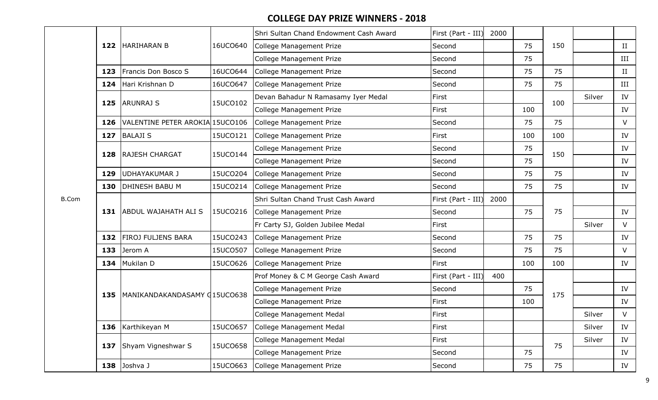|     |                                 |          | Shri Sultan Chand Endowment Cash Award | First (Part - III) | 2000 |     |     |        |        |
|-----|---------------------------------|----------|----------------------------------------|--------------------|------|-----|-----|--------|--------|
| 122 | <b>HARIHARAN B</b>              | 16UCO640 | College Management Prize               | Second             |      | 75  | 150 |        | II     |
|     |                                 |          | College Management Prize               | Second             |      | 75  |     |        | III    |
| 123 | Francis Don Bosco S             | 16UCO644 | College Management Prize               | Second             |      | 75  | 75  |        | II     |
| 124 | Hari Krishnan D                 | 16UCO647 | College Management Prize               | Second             |      | 75  | 75  |        | III    |
| 125 | <b>ARUNRAJ S</b>                | 15UCO102 | Devan Bahadur N Ramasamy Iyer Medal    | First              |      |     | 100 | Silver | IV     |
|     |                                 |          | College Management Prize               | First              |      | 100 |     |        | IV     |
| 126 | VALENTINE PETER AROKIA 15UCO106 |          | College Management Prize               | Second             |      | 75  | 75  |        | V      |
| 127 | <b>BALAJI S</b>                 | 15UCO121 | College Management Prize               | First              |      | 100 | 100 |        | IV     |
| 128 | <b>RAJESH CHARGAT</b>           | 15UCO144 | <b>College Management Prize</b>        | Second             |      | 75  | 150 |        | IV     |
|     |                                 |          | College Management Prize               | Second             |      | 75  |     |        | IV     |
| 129 | <b>UDHAYAKUMAR J</b>            | 15UCO204 | College Management Prize               | Second             |      | 75  | 75  |        | IV     |
| 130 | <b>DHINESH BABU M</b>           | 15UCO214 | College Management Prize               | Second             |      | 75  | 75  |        | IV     |
|     |                                 |          | Shri Sultan Chand Trust Cash Award     | First (Part - III) | 2000 |     |     |        |        |
| 131 | <b>ABDUL WAJAHATH ALI S</b>     | 15UCO216 | College Management Prize               | Second             |      | 75  | 75  |        | IV     |
|     |                                 |          | Fr Carty SJ, Golden Jubilee Medal      | First              |      |     |     | Silver | V      |
| 132 | <b>FIROJ FULJENS BARA</b>       | 15UCO243 | College Management Prize               | Second             |      | 75  | 75  |        | IV     |
| 133 | Jerom A                         | 15UCO507 | College Management Prize               | Second             |      | 75  | 75  |        | $\vee$ |
| 134 | Mukilan D                       | 15UCO626 | College Management Prize               | First              |      | 100 | 100 |        | IV     |
|     |                                 |          | Prof Money & C M George Cash Award     | First (Part - III) | 400  |     |     |        |        |
| 135 | MANIKANDAKANDASAMY 015UCO638    |          | College Management Prize               | Second             |      | 75  | 175 |        | IV     |
|     |                                 |          | College Management Prize               | First              |      | 100 |     |        | IV     |
|     |                                 |          | College Management Medal               | First              |      |     |     | Silver | V      |
| 136 | Karthikeyan M                   | 15UCO657 | College Management Medal               | First              |      |     |     | Silver | IV     |
| 137 | Shyam Vigneshwar S              | 15UCO658 | College Management Medal               | First              |      |     | 75  | Silver | IV     |
|     |                                 |          | College Management Prize               | Second             |      | 75  |     |        | IV     |
| 138 | Joshva J                        | 15UCO663 | College Management Prize               | Second             |      | 75  | 75  |        | IV     |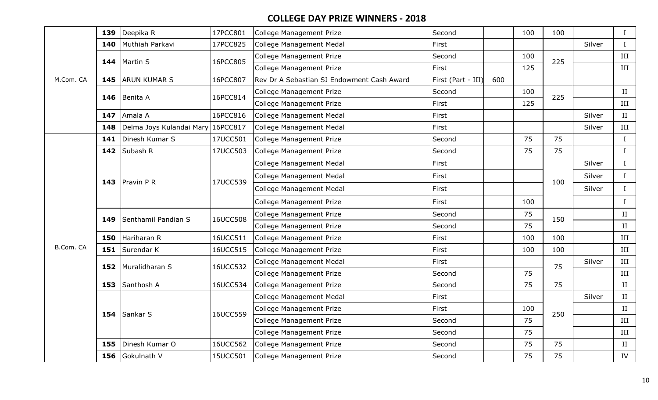|           | 139 | Deepika R                         | 17PCC801 | <b>College Management Prize</b>            | Second             |     | 100 | 100 |        | $\bf{I}$     |
|-----------|-----|-----------------------------------|----------|--------------------------------------------|--------------------|-----|-----|-----|--------|--------------|
|           | 140 | Muthiah Parkavi                   | 17PCC825 | <b>College Management Medal</b>            | First              |     |     |     | Silver | $\bf{I}$     |
|           | 144 | Martin S                          | 16PCC805 | <b>College Management Prize</b>            | Second             |     | 100 | 225 |        | III          |
|           |     |                                   |          | <b>College Management Prize</b>            | First              |     | 125 |     |        | III          |
| M.Com. CA | 145 | <b>ARUN KUMAR S</b>               | 16PCC807 | Rev Dr A Sebastian SJ Endowment Cash Award | First (Part - III) | 600 |     |     |        |              |
|           | 146 | Benita A                          | 16PCC814 | College Management Prize                   | Second             |     | 100 | 225 |        | II           |
|           |     |                                   |          | <b>College Management Prize</b>            | First              |     | 125 |     |        | III          |
|           | 147 | Amala A                           | 16PCC816 | <b>College Management Medal</b>            | First              |     |     |     | Silver | II           |
|           | 148 | Delma Joys Kulandai Mary 16PCC817 |          | College Management Medal                   | First              |     |     |     | Silver | III          |
|           | 141 | Dinesh Kumar S                    | 17UCC501 | <b>College Management Prize</b>            | Second             |     | 75  | 75  |        | $\;$ I       |
|           | 142 | Subash R                          | 17UCC503 | <b>College Management Prize</b>            | Second             |     | 75  | 75  |        | $\bf{I}$     |
|           |     |                                   |          | <b>College Management Medal</b>            | First              |     |     |     | Silver | $\bf{I}$     |
|           |     | 143 $P^r$ avin PR                 | 17UCC539 | <b>College Management Medal</b>            | First              |     |     | 100 | Silver | $\mathbf{I}$ |
|           |     |                                   |          | <b>College Management Medal</b>            | First              |     |     |     | Silver | $\mathbf{I}$ |
|           |     |                                   |          | <b>College Management Prize</b>            | First              |     | 100 |     |        | $\mathbf{I}$ |
|           |     | Senthamil Pandian S               | 16UCC508 | <b>College Management Prize</b>            | Second             |     | 75  | 150 |        | II           |
|           | 149 |                                   |          | <b>College Management Prize</b>            | Second             |     | 75  |     |        | II           |
|           | 150 | Hariharan R                       | 16UCC511 | <b>College Management Prize</b>            | First              |     | 100 | 100 |        | III          |
| B.Com. CA | 151 | Surendar K                        | 16UCC515 | College Management Prize                   | First              |     | 100 | 100 |        | $\rm III$    |
|           | 152 | Muralidharan S                    | 16UCC532 | <b>College Management Medal</b>            | First              |     |     | 75  | Silver | III          |
|           |     |                                   |          | <b>College Management Prize</b>            | Second             |     | 75  |     |        | III          |
|           |     | 153 Santhosh A                    | 16UCC534 | <b>College Management Prize</b>            | Second             |     | 75  | 75  |        | II           |
|           |     |                                   |          | <b>College Management Medal</b>            | First              |     |     |     | Silver | II           |
|           |     | 154 $SankarS$                     | 16UCC559 | <b>College Management Prize</b>            | First              |     | 100 | 250 |        | II           |
|           |     |                                   |          | <b>College Management Prize</b>            | Second             |     | 75  |     |        | III          |
|           |     |                                   |          | <b>College Management Prize</b>            | Second             |     | 75  |     |        | III          |
|           | 155 | Dinesh Kumar O                    | 16UCC562 | <b>College Management Prize</b>            | Second             |     | 75  | 75  |        | II           |
|           | 156 | Gokulnath V                       | 15UCC501 | <b>College Management Prize</b>            | Second             |     | 75  | 75  |        | IV           |
|           |     |                                   |          |                                            |                    |     |     |     |        |              |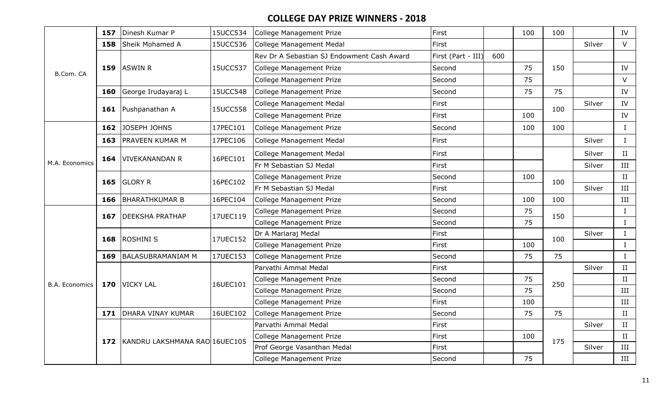| B.Com. CA             | 157 | Dinesh Kumar P                    | 15UCC534 | College Management Prize                   | First              |     | 100 | 100 |        | IV           |
|-----------------------|-----|-----------------------------------|----------|--------------------------------------------|--------------------|-----|-----|-----|--------|--------------|
|                       | 158 | Sheik Mohamed A                   | 15UCC536 | College Management Medal                   | First              |     |     |     | Silver | $\vee$       |
|                       |     |                                   |          | Rev Dr A Sebastian SJ Endowment Cash Award | First (Part - III) | 600 |     |     |        |              |
|                       | 159 | <b>ASWIN R</b>                    | 15UCC537 | College Management Prize                   | Second             |     | 75  | 150 |        | IV           |
|                       |     |                                   |          | College Management Prize                   | Second             |     | 75  |     |        | $\vee$       |
|                       | 160 | George Irudayaraj L               | 15UCC548 | College Management Prize                   | Second             |     | 75  | 75  |        | IV           |
|                       | 161 | Pushpanathan A                    | 15UCC558 | College Management Medal                   | First              |     |     | 100 | Silver | IV           |
|                       |     |                                   |          | College Management Prize                   | First              |     | 100 |     |        | IV           |
|                       | 162 | JOSEPH JOHNS                      | 17PEC101 | College Management Prize                   | Second             |     | 100 | 100 |        | $\bf{I}$     |
|                       | 163 | <b>PRAVEEN KUMAR M</b>            | 17PEC106 | College Management Medal                   | First              |     |     |     | Silver | $\mathbf{I}$ |
|                       |     |                                   |          | <b>College Management Medal</b>            | First              |     |     |     | Silver | $\rm II$     |
| M.A. Economics        | 164 | VIVEKANANDAN R                    | 16PEC101 | Fr M Sebastian SJ Medal                    | First              |     |     |     | Silver | III          |
|                       | 165 | <b>GLORY R</b>                    | 16PEC102 | College Management Prize                   | Second             |     | 100 | 100 |        | II           |
|                       |     |                                   |          | Fr M Sebastian SJ Medal                    | First              |     |     |     | Silver | $\rm III$    |
|                       | 166 | <b>BHARATHKUMAR B</b>             | 16PEC104 | College Management Prize                   | Second             |     | 100 | 100 |        | III          |
|                       | 167 | <b>DEEKSHA PRATHAP</b>            | 17UEC119 | College Management Prize                   | Second             |     | 75  | 150 |        | $\bf{I}$     |
|                       |     |                                   |          | <b>College Management Prize</b>            | Second             |     | 75  |     |        | $\bf{I}$     |
|                       | 168 | <b>ROSHINI S</b>                  | 17UEC152 | Dr A Mariaraj Medal                        | First              |     |     | 100 | Silver | $\bf{I}$     |
|                       |     |                                   |          | <b>College Management Prize</b>            | First              |     | 100 |     |        | $\bf{I}$     |
|                       | 169 | <b>BALASUBRAMANIAM M</b>          | 17UEC153 | College Management Prize                   | Second             |     | 75  | 75  |        | $\bf{I}$     |
|                       |     |                                   |          | Parvathi Ammal Medal                       | First              |     |     |     | Silver | II           |
| <b>B.A. Economics</b> |     | 170 VICKY LAL                     | 16UEC101 | <b>College Management Prize</b>            | Second             |     | 75  | 250 |        | II           |
|                       |     |                                   |          | <b>College Management Prize</b>            | Second             |     | 75  |     |        | III          |
|                       |     |                                   |          | <b>College Management Prize</b>            | First              |     | 100 |     |        | III          |
|                       | 171 | <b>DHARA VINAY KUMAR</b>          | 16UEC102 | <b>College Management Prize</b>            | Second             |     | 75  | 75  |        | II           |
|                       |     |                                   |          | Parvathi Ammal Medal                       | First              |     |     |     | Silver | $\rm II$     |
|                       |     | 172 KANDRU LAKSHMANA RAO 16UEC105 |          | <b>College Management Prize</b>            | First              |     | 100 | 175 |        | II           |
|                       |     |                                   |          | Prof George Vasanthan Medal                | First              |     |     |     | Silver | III          |
|                       |     |                                   |          | <b>College Management Prize</b>            | Second             |     | 75  |     |        | III          |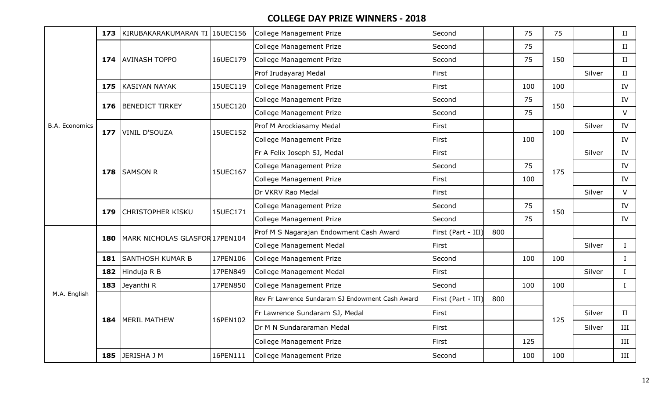|                       | 173 | KIRUBAKARAKUMARAN TI 16UEC156  |          | College Management Prize                         | Second             |     | 75  | 75  |        | $\scriptstyle\rm II$ |
|-----------------------|-----|--------------------------------|----------|--------------------------------------------------|--------------------|-----|-----|-----|--------|----------------------|
|                       |     |                                |          | College Management Prize                         | Second             |     | 75  |     |        | II                   |
|                       | 174 | <b>AVINASH TOPPO</b>           | 16UEC179 | College Management Prize                         | Second             |     | 75  | 150 |        | II                   |
|                       |     |                                |          | Prof Irudayaraj Medal                            | First              |     |     |     | Silver | II                   |
|                       | 175 | <b>KASIYAN NAYAK</b>           | 15UEC119 | College Management Prize                         | First              |     | 100 | 100 |        | IV                   |
|                       | 176 | <b>BENEDICT TIRKEY</b>         | 15UEC120 | College Management Prize                         | Second             |     | 75  | 150 |        | ${\rm IV}$           |
|                       |     |                                |          | College Management Prize                         | Second             |     | 75  |     |        | $\vee$               |
| <b>B.A. Economics</b> | 177 | <b>VINIL D'SOUZA</b>           | 15UEC152 | Prof M Arockiasamy Medal                         | First              |     |     | 100 | Silver | IV                   |
|                       |     |                                |          | College Management Prize                         | First              |     | 100 |     |        | IV                   |
|                       |     |                                |          | Fr A Felix Joseph SJ, Medal                      | First              |     |     |     | Silver | IV                   |
|                       | 178 | <b>SAMSON R</b>                | 15UEC167 | <b>College Management Prize</b>                  | Second             |     | 75  | 175 |        | IV                   |
|                       |     |                                |          | College Management Prize                         | First              |     | 100 |     |        | IV                   |
|                       |     |                                |          | Dr VKRV Rao Medal                                | First              |     |     |     | Silver | $\vee$               |
|                       | 179 | <b>CHRISTOPHER KISKU</b>       | 15UEC171 | College Management Prize                         | Second             |     | 75  | 150 |        | IV                   |
|                       |     |                                |          | <b>College Management Prize</b>                  | Second             |     | 75  |     |        | IV                   |
|                       | 180 | MARK NICHOLAS GLASFOR 17PEN104 |          | Prof M S Nagarajan Endowment Cash Award          | First (Part - III) | 800 |     |     |        |                      |
|                       |     |                                |          | College Management Medal                         | First              |     |     |     | Silver | $\mathbf I$          |
|                       | 181 | <b>SANTHOSH KUMAR B</b>        | 17PEN106 | College Management Prize                         | Second             |     | 100 | 100 |        | $\mathbf I$          |
|                       | 182 | Hinduja R B                    | 17PEN849 | College Management Medal                         | First              |     |     |     | Silver | $\mathbf I$          |
|                       | 183 | Jeyanthi R                     | 17PEN850 | College Management Prize                         | Second             |     | 100 | 100 |        | $\bf{I}$             |
| M.A. English          |     |                                |          | Rev Fr Lawrence Sundaram SJ Endowment Cash Award | First (Part - III) | 800 |     |     |        |                      |
|                       | 184 | <b>MERIL MATHEW</b>            | 16PEN102 | Fr Lawrence Sundaram SJ, Medal                   | First              |     |     | 125 | Silver | $\scriptstyle\rm II$ |
|                       |     |                                |          | Dr M N Sundararaman Medal                        | First              |     |     |     | Silver | III                  |
|                       |     |                                |          | College Management Prize                         | First              |     | 125 |     |        | III                  |
|                       | 185 | JERISHA J M                    | 16PEN111 | College Management Prize                         | Second             |     | 100 | 100 |        | III                  |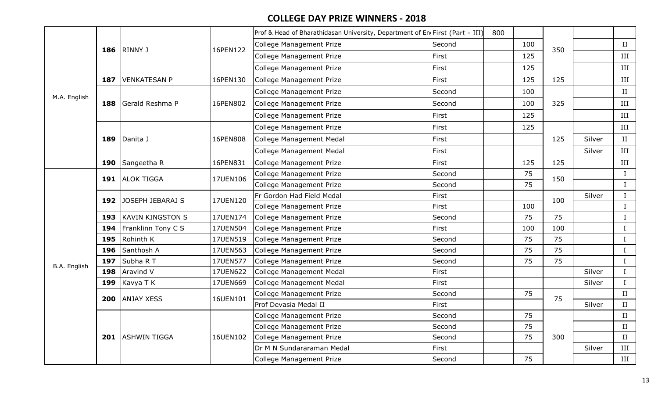|              |     |                         |          | Prof & Head of Bharathidasan University, Department of En First (Part - III) |        | 800 |     |     |        |             |
|--------------|-----|-------------------------|----------|------------------------------------------------------------------------------|--------|-----|-----|-----|--------|-------------|
|              |     |                         |          | <b>College Management Prize</b>                                              | Second |     | 100 | 350 |        | II          |
|              |     | 186 RINNY J             | 16PEN122 | <b>College Management Prize</b>                                              | First  |     | 125 |     |        | $\rm III$   |
|              |     |                         |          | <b>College Management Prize</b>                                              | First  |     | 125 |     |        | III         |
|              | 187 | <b>VENKATESAN P</b>     | 16PEN130 | College Management Prize                                                     | First  |     | 125 | 125 |        | $\rm III$   |
|              |     |                         |          | College Management Prize                                                     | Second |     | 100 |     |        | $\rm II$    |
| M.A. English | 188 | Gerald Reshma P         | 16PEN802 | College Management Prize                                                     | Second |     | 100 | 325 |        | $\rm III$   |
|              |     |                         |          | <b>College Management Prize</b>                                              | First  |     | 125 |     |        | III         |
|              |     |                         |          | <b>College Management Prize</b>                                              | First  |     | 125 |     |        | III         |
|              | 189 | Danita J                | 16PEN808 | <b>College Management Medal</b>                                              | First  |     |     | 125 | Silver | II          |
|              |     |                         |          | <b>College Management Medal</b>                                              | First  |     |     |     | Silver | III         |
|              | 190 | Sangeetha R             | 16PEN831 | <b>College Management Prize</b>                                              | First  |     | 125 | 125 |        | III         |
|              |     | 191 ALOK TIGGA          | 17UEN106 | <b>College Management Prize</b>                                              | Second |     | 75  | 150 |        | $\mathbf I$ |
|              |     |                         |          | <b>College Management Prize</b>                                              | Second |     | 75  |     |        | $\bf{I}$    |
|              | 192 | JOSEPH JEBARAJ S        | 17UEN120 | Fr Gordon Had Field Medal                                                    | First  |     |     | 100 | Silver | $\mathbf I$ |
|              |     |                         |          | College Management Prize                                                     | First  |     | 100 |     |        | $\bf I$     |
|              | 193 | <b>KAVIN KINGSTON S</b> | 17UEN174 | College Management Prize                                                     | Second |     | 75  | 75  |        | $\bf{I}$    |
|              | 194 | Franklinn Tony C S      | 17UEN504 | College Management Prize                                                     | First  |     | 100 | 100 |        | $\rm I$     |
|              | 195 | Rohinth K               | 17UEN519 | College Management Prize                                                     | Second |     | 75  | 75  |        | $\rm I$     |
|              | 196 | Santhosh A              | 17UEN563 | <b>College Management Prize</b>                                              | Second |     | 75  | 75  |        | $\rm I$     |
| B.A. English | 197 | Subha R T               | 17UEN577 | College Management Prize                                                     | Second |     | 75  | 75  |        | $\bf{I}$    |
|              | 198 | <b>Aravind V</b>        | 17UEN622 | College Management Medal                                                     | First  |     |     |     | Silver | $\bf{I}$    |
|              | 199 | Kavya T K               | 17UEN669 | <b>College Management Medal</b>                                              | First  |     |     |     | Silver | $\rm I$     |
|              | 200 | <b>ANJAY XESS</b>       | 16UEN101 | College Management Prize                                                     | Second |     | 75  | 75  |        | II          |
|              |     |                         |          | Prof Devasia Medal II                                                        | First  |     |     |     | Silver | II          |
|              |     |                         |          | College Management Prize                                                     | Second |     | 75  |     |        | II          |
|              |     |                         |          | <b>College Management Prize</b>                                              | Second |     | 75  |     |        | II          |
|              |     | 201 ASHWIN TIGGA        | 16UEN102 | College Management Prize                                                     | Second |     | 75  | 300 |        | II          |
|              |     |                         |          | Dr M N Sundararaman Medal                                                    | First  |     |     |     | Silver | $\rm III$   |
|              |     |                         |          | College Management Prize                                                     | Second |     | 75  |     |        | III         |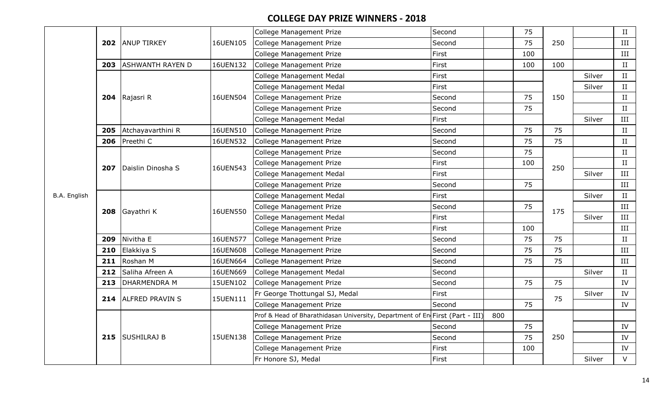|              |     |                         |          | College Management Prize                                                     | Second |     | 75  |     |        | $\;$ II   |
|--------------|-----|-------------------------|----------|------------------------------------------------------------------------------|--------|-----|-----|-----|--------|-----------|
|              |     | 202 ANUP TIRKEY         | 16UEN105 | College Management Prize                                                     | Second |     | 75  | 250 |        | III       |
|              |     |                         |          | College Management Prize                                                     | First  |     | 100 |     |        | $\rm III$ |
|              | 203 | <b>ASHWANTH RAYEN D</b> | 16UEN132 | College Management Prize                                                     | First  |     | 100 | 100 |        | II        |
|              |     |                         |          | College Management Medal                                                     | First  |     |     |     | Silver | II        |
|              |     |                         |          | College Management Medal                                                     | First  |     |     |     | Silver | II        |
|              |     | 204 Rajasri R           | 16UEN504 | College Management Prize                                                     | Second |     | 75  | 150 |        | II        |
|              |     |                         |          | College Management Prize                                                     | Second |     | 75  |     |        | II        |
|              |     |                         |          | College Management Medal                                                     | First  |     |     |     | Silver | $\rm III$ |
|              | 205 | Atchayavarthini R       | 16UEN510 | College Management Prize                                                     | Second |     | 75  | 75  |        | II        |
|              | 206 | Preethi C               | 16UEN532 | College Management Prize                                                     | Second |     | 75  | 75  |        | II        |
|              |     |                         |          | <b>College Management Prize</b>                                              | Second |     | 75  |     |        | II        |
|              | 207 | Daislin Dinosha S       | 16UEN543 | College Management Prize                                                     | First  |     | 100 | 250 |        | II        |
|              |     |                         |          | <b>College Management Medal</b>                                              | First  |     |     |     | Silver | $\rm III$ |
|              |     |                         |          | College Management Prize                                                     | Second |     | 75  |     |        | $\rm III$ |
| B.A. English |     |                         |          | College Management Medal                                                     | First  |     |     |     | Silver | II        |
|              |     |                         | 16UEN550 | College Management Prize                                                     | Second |     | 75  | 175 |        | III       |
|              |     | 208 Gayathri K          |          | College Management Medal                                                     | First  |     |     |     | Silver | III       |
|              |     |                         |          | College Management Prize                                                     | First  |     | 100 |     |        | III       |
|              | 209 | Nivitha E               | 16UEN577 | College Management Prize                                                     | Second |     | 75  | 75  |        | II        |
|              | 210 | Elakkiya S              | 16UEN608 | College Management Prize                                                     | Second |     | 75  | 75  |        | III       |
|              | 211 | Roshan M                | 16UEN664 | <b>College Management Prize</b>                                              | Second |     | 75  | 75  |        | III       |
|              | 212 | Saliha Afreen A         | 16UEN669 | College Management Medal                                                     | Second |     |     |     | Silver | II        |
|              | 213 | <b>DHARMENDRA M</b>     | 15UEN102 | <b>College Management Prize</b>                                              | Second |     | 75  | 75  |        | IV        |
|              |     | 214 ALFRED PRAVIN S     | 15UEN111 | Fr George Thottungal SJ, Medal                                               | First  |     |     | 75  | Silver | IV        |
|              |     |                         |          | <b>College Management Prize</b>                                              | Second |     | 75  |     |        | IV        |
|              |     |                         |          | Prof & Head of Bharathidasan University, Department of En First (Part - III) |        | 800 |     |     |        |           |
|              |     |                         |          | College Management Prize                                                     | Second |     | 75  |     |        | IV        |
|              | 215 | SUSHILRAJ B             | 15UEN138 | College Management Prize                                                     | Second |     | 75  | 250 |        | IV        |
|              |     |                         |          | <b>College Management Prize</b>                                              | First  |     | 100 |     |        | IV        |
|              |     |                         |          | Fr Honore SJ, Medal                                                          | First  |     |     |     | Silver | $\vee$    |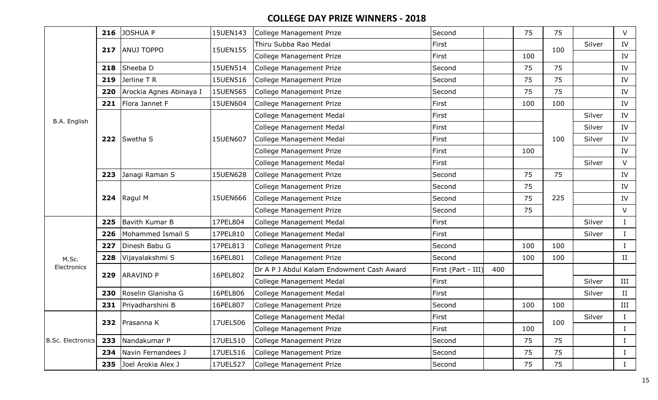|                          | 216 | <b>JOSHUA P</b>         | 15UEN143 | College Management Prize                  | Second             |     | 75  | 75  |        | V            |
|--------------------------|-----|-------------------------|----------|-------------------------------------------|--------------------|-----|-----|-----|--------|--------------|
|                          | 217 | <b>ANUJ TOPPO</b>       | 15UEN155 | Thiru Subba Rao Medal                     | First              |     |     | 100 | Silver | IV           |
|                          |     |                         |          | College Management Prize                  | First              |     | 100 |     |        | IV           |
|                          | 218 | Sheeba D                | 15UEN514 | College Management Prize                  | Second             |     | 75  | 75  |        | IV           |
|                          | 219 | Jerline T R             | 15UEN516 | College Management Prize                  | Second             |     | 75  | 75  |        | IV           |
|                          | 220 | Arockia Agnes Abinaya I | 15UEN565 | College Management Prize                  | Second             |     | 75  | 75  |        | IV           |
|                          | 221 | Flora Jannet F          | 15UEN604 | <b>College Management Prize</b>           | First              |     | 100 | 100 |        | IV           |
| B.A. English             |     |                         |          | College Management Medal                  | First              |     |     |     | Silver | ${\rm IV}$   |
|                          |     |                         |          | <b>College Management Medal</b>           | First              |     |     |     | Silver | IV           |
|                          |     | 222 Swetha S            | 15UEN607 | College Management Medal                  | First              |     |     | 100 | Silver | IV           |
|                          |     |                         |          | College Management Prize                  | First              |     | 100 |     |        | IV           |
|                          |     |                         |          | College Management Medal                  | First              |     |     |     | Silver | $\vee$       |
|                          | 223 | Janagi Raman S          | 15UEN628 | College Management Prize                  | Second             |     | 75  | 75  |        | IV           |
|                          |     |                         |          | College Management Prize                  | Second             |     | 75  |     |        | IV           |
|                          |     | 224 Ragul M             | 15UEN666 | College Management Prize                  | Second             |     | 75  | 225 |        | IV           |
|                          |     |                         |          | College Management Prize                  | Second             |     | 75  |     |        | V            |
|                          | 225 | Bavith Kumar B          | 17PEL804 | <b>College Management Medal</b>           | First              |     |     |     | Silver | $\mathbf{I}$ |
|                          | 226 | Mohammed Ismail S       | 17PEL810 | <b>College Management Medal</b>           | First              |     |     |     | Silver | $\mathbf{I}$ |
|                          | 227 | Dinesh Babu G           | 17PEL813 | <b>College Management Prize</b>           | Second             |     | 100 | 100 |        | $\mathbf{I}$ |
| M.Sc.                    | 228 | Vijayalakshmi S         | 16PEL801 | College Management Prize                  | Second             |     | 100 | 100 |        | II           |
| Electronics              | 229 | <b>ARAVIND P</b>        | 16PEL802 | Dr A P J Abdul Kalam Endowment Cash Award | First (Part - III) | 400 |     |     |        |              |
|                          |     |                         |          | College Management Medal                  | First              |     |     |     | Silver | III          |
|                          | 230 | Roselin Glanisha G      | 16PEL806 | College Management Medal                  | First              |     |     |     | Silver | II           |
|                          | 231 | Priyadharshini B        | 16PEL807 | College Management Prize                  | Second             |     | 100 | 100 |        | III          |
|                          |     | 232 Prasanna K          | 17UEL506 | College Management Medal                  | First              |     |     | 100 | Silver |              |
|                          |     |                         |          | <b>College Management Prize</b>           | First              |     | 100 |     |        | $\bf{I}$     |
| <b>B.Sc. Electronics</b> | 233 | Nandakumar P            | 17UEL510 | <b>College Management Prize</b>           | Second             |     | 75  | 75  |        | $\bf{I}$     |
|                          | 234 | Navin Fernandees J      | 17UEL516 | <b>College Management Prize</b>           | Second             |     | 75  | 75  |        | $\bf{I}$     |
|                          |     | 235 Joel Arokia Alex J  | 17UEL527 | <b>College Management Prize</b>           | Second             |     | 75  | 75  |        | $\bf{I}$     |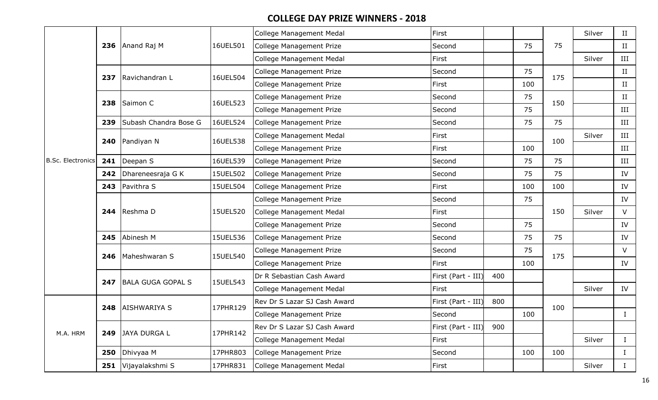|                          |     |                       |          | <b>College Management Medal</b> | First              |     |     |     | Silver | II           |
|--------------------------|-----|-----------------------|----------|---------------------------------|--------------------|-----|-----|-----|--------|--------------|
|                          |     | 236 Anand Raj M       | 16UEL501 | <b>College Management Prize</b> | Second             |     | 75  | 75  |        | II           |
|                          |     |                       |          | College Management Medal        | First              |     |     |     | Silver | $\rm III$    |
|                          |     | 237 Ravichandran L    | 16UEL504 | College Management Prize        | Second             |     | 75  | 175 |        | II           |
|                          |     |                       |          | <b>College Management Prize</b> | First              |     | 100 |     |        | $\rm II$     |
|                          | 238 | Saimon C              | 16UEL523 | College Management Prize        | Second             |     | 75  | 150 |        | $\rm II$     |
|                          |     |                       |          | College Management Prize        | Second             |     | 75  |     |        | $\rm III$    |
|                          | 239 | Subash Chandra Bose G | 16UEL524 | College Management Prize        | Second             |     | 75  | 75  |        | $\rm III$    |
|                          |     | 240 Pandiyan N        | 16UEL538 | College Management Medal        | First              |     |     | 100 | Silver | $\rm III$    |
|                          |     |                       |          | College Management Prize        | First              |     | 100 |     |        | III          |
| <b>B.Sc. Electronics</b> | 241 | Deepan S              | 16UEL539 | College Management Prize        | Second             |     | 75  | 75  |        | III          |
|                          | 242 | Dhareneesraja G K     | 15UEL502 | College Management Prize        | Second             |     | 75  | 75  |        | IV           |
|                          | 243 | Pavithra S            | 15UEL504 | College Management Prize        | First              |     | 100 | 100 |        | IV           |
|                          |     |                       |          | College Management Prize        | Second             |     | 75  |     |        | IV           |
|                          |     | 244 Reshma D          | 15UEL520 | College Management Medal        | First              |     |     | 150 | Silver | $\vee$       |
|                          |     |                       |          | <b>College Management Prize</b> | Second             |     | 75  |     |        | IV           |
|                          | 245 | Abinesh M             | 15UEL536 | College Management Prize        | Second             |     | 75  | 75  |        | IV           |
|                          | 246 | Maheshwaran S         | 15UEL540 | College Management Prize        | Second             |     | 75  | 175 |        | V            |
|                          |     |                       |          | College Management Prize        | First              |     | 100 |     |        | IV           |
|                          | 247 | BALA GUGA GOPAL S     | 15UEL543 | Dr R Sebastian Cash Award       | First (Part - III) | 400 |     |     |        |              |
|                          |     |                       |          | College Management Medal        | First              |     |     |     | Silver | IV           |
|                          | 248 | <b>AISHWARIYA S</b>   | 17PHR129 | Rev Dr S Lazar SJ Cash Award    | First (Part - III) | 800 |     | 100 |        |              |
|                          |     |                       |          | College Management Prize        | Second             |     | 100 |     |        | $\perp$      |
| M.A. HRM                 | 249 | JAYA DURGA L          | 17PHR142 | Rev Dr S Lazar SJ Cash Award    | First (Part - III) | 900 |     |     |        |              |
|                          |     |                       |          | College Management Medal        | First              |     |     |     | Silver | $\mathbf{I}$ |
|                          |     | 250 $\vert$ Dhivyaa M | 17PHR803 | College Management Prize        | Second             |     | 100 | 100 |        | $\bf{I}$     |
|                          | 251 | Vijayalakshmi S       | 17PHR831 | College Management Medal        | First              |     |     |     | Silver | $\mathbf{I}$ |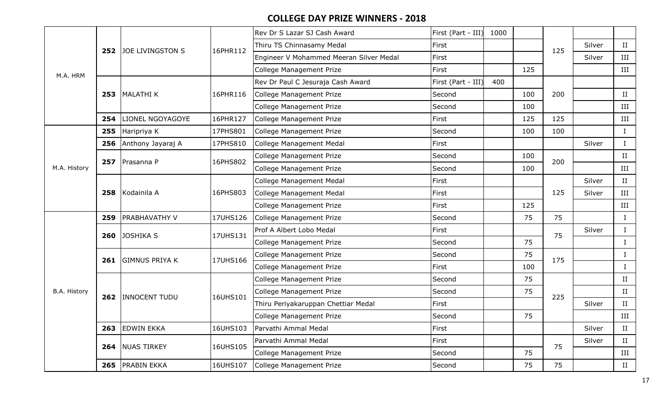|              |     |                         |          | Rev Dr S Lazar SJ Cash Award            | First (Part - III) | 1000 |     |     |        |              |
|--------------|-----|-------------------------|----------|-----------------------------------------|--------------------|------|-----|-----|--------|--------------|
|              | 252 | <b>JOE LIVINGSTON S</b> | 16PHR112 | Thiru TS Chinnasamy Medal               | First              |      |     | 125 | Silver | II           |
|              |     |                         |          | Engineer V Mohammed Meeran Silver Medal | First              |      |     |     | Silver | III          |
| M.A. HRM     |     |                         |          | <b>College Management Prize</b>         | First              |      | 125 |     |        | III          |
|              |     |                         |          | Rev Dr Paul C Jesuraja Cash Award       | First (Part - III) | 400  |     |     |        |              |
|              |     | 253   MALATHI K         | 16PHR116 | College Management Prize                | Second             |      | 100 | 200 |        | $_{\rm II}$  |
|              |     |                         |          | College Management Prize                | Second             |      | 100 |     |        | III          |
|              | 254 | <b>LIONEL NGOYAGOYE</b> | 16PHR127 | College Management Prize                | First              |      | 125 | 125 |        | $\rm III$    |
|              | 255 | Haripriya K             | 17PHS801 | College Management Prize                | Second             |      | 100 | 100 |        | $\mathbf{I}$ |
|              | 256 | Anthony Jayaraj A       | 17PHS810 | College Management Medal                | First              |      |     |     | Silver | Ι            |
|              |     | 257 Prasanna P          | 16PHS802 | College Management Prize                | Second             |      | 100 | 200 |        | $_{\rm II}$  |
| M.A. History |     |                         |          | College Management Prize                | Second             |      | 100 |     |        | III          |
|              |     | Kodainila A             |          | <b>College Management Medal</b>         | First              |      |     |     | Silver | II           |
|              | 258 |                         | 16PHS803 | <b>College Management Medal</b>         | First              |      |     | 125 | Silver | III          |
|              |     |                         |          | College Management Prize                | First              |      | 125 |     |        | III          |
|              | 259 | <b>PRABHAVATHY V</b>    | 17UHS126 | <b>College Management Prize</b>         | Second             |      | 75  | 75  |        | $\bf{I}$     |
|              | 260 | <b>JOSHIKA S</b>        | 17UHS131 | Prof A Albert Lobo Medal                | First              |      |     | 75  | Silver | $\bf{I}$     |
|              |     |                         |          | College Management Prize                | Second             |      | 75  |     |        | L            |
|              | 261 | <b>GIMNUS PRIYA K</b>   | 17UHS166 | <b>College Management Prize</b>         | Second             |      | 75  | 175 |        |              |
|              |     |                         |          | College Management Prize                | First              |      | 100 |     |        |              |
|              |     |                         |          | College Management Prize                | Second             |      | 75  |     |        | II           |
| B.A. History |     | 262 INNOCENT TUDU       | 16UHS101 | College Management Prize                | Second             |      | 75  | 225 |        | $_{\rm II}$  |
|              |     |                         |          | Thiru Periyakaruppan Chettiar Medal     | First              |      |     |     | Silver | $\rm II$     |
|              |     |                         |          | College Management Prize                | Second             |      | 75  |     |        | III          |
|              | 263 | <b>EDWIN EKKA</b>       | 16UHS103 | Parvathi Ammal Medal                    | First              |      |     |     | Silver | II           |
|              |     | 264 NUAS TIRKEY         | 16UHS105 | Parvathi Ammal Medal                    | First              |      |     | 75  | Silver | $\rm II$     |
|              |     |                         |          | College Management Prize                | Second             |      | 75  |     |        | III          |
|              |     | 265 PRABIN EKKA         | 16UHS107 | College Management Prize                | Second             |      | 75  | 75  |        | II           |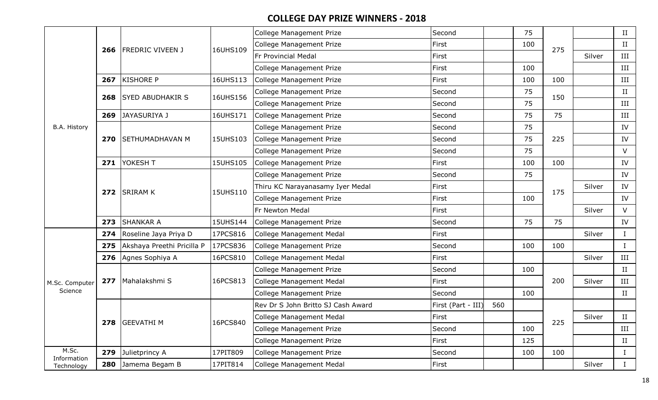|                      |     |                            |          | College Management Prize           | Second             |     | 75  |     |        | II           |
|----------------------|-----|----------------------------|----------|------------------------------------|--------------------|-----|-----|-----|--------|--------------|
|                      |     | <b>FREDRIC VIVEEN J</b>    | 16UHS109 | <b>College Management Prize</b>    | First              |     | 100 | 275 |        | II           |
|                      | 266 |                            |          | Fr Provincial Medal                | First              |     |     |     | Silver | III          |
|                      |     |                            |          | College Management Prize           | First              |     | 100 |     |        | III          |
|                      | 267 | <b>KISHORE P</b>           | 16UHS113 | College Management Prize           | First              |     | 100 | 100 |        | III          |
|                      | 268 | <b>SYED ABUDHAKIR S</b>    | 16UHS156 | College Management Prize           | Second             |     | 75  | 150 |        | $\rm II$     |
|                      |     |                            |          | <b>College Management Prize</b>    | Second             |     | 75  |     |        | III          |
|                      |     | 269 JAYASURIYA J           | 16UHS171 | College Management Prize           | Second             |     | 75  | 75  |        | $\rm III$    |
| B.A. History         |     |                            |          | <b>College Management Prize</b>    | Second             |     | 75  |     |        | IV           |
|                      | 270 | SETHUMADHAVAN M            | 15UHS103 | College Management Prize           | Second             |     | 75  | 225 |        | IV           |
|                      |     |                            |          | <b>College Management Prize</b>    | Second             |     | 75  |     |        | V            |
|                      |     | 271 YOKESH T               | 15UHS105 | College Management Prize           | First              |     | 100 | 100 |        | IV           |
|                      |     |                            |          | College Management Prize           | Second             |     | 75  |     |        | IV           |
|                      |     | 272 SRIRAM K               | 15UHS110 | Thiru KC Narayanasamy Iyer Medal   | First              |     |     | 175 | Silver | IV           |
|                      |     |                            |          | College Management Prize           | First              |     | 100 |     |        | IV           |
|                      |     |                            |          | Fr Newton Medal                    | First              |     |     |     | Silver | V            |
|                      |     | 273 SHANKAR A              | 15UHS144 | College Management Prize           | Second             |     | 75  | 75  |        | IV           |
|                      |     | 274 Roseline Jaya Priya D  | 17PCS816 | College Management Medal           | First              |     |     |     | Silver | $\mathbf I$  |
|                      | 275 | Akshaya Preethi Pricilla P | 17PCS836 | College Management Prize           | Second             |     | 100 | 100 |        | $\bf{I}$     |
|                      |     | 276 Agnes Sophiya A        | 16PCS810 | College Management Medal           | First              |     |     |     | Silver | III          |
|                      |     |                            |          | <b>College Management Prize</b>    | Second             |     | 100 |     |        | II           |
| M.Sc. Computer       |     | 277   Mahalakshmi S        | 16PCS813 | College Management Medal           | First              |     |     | 200 | Silver | III          |
| Science              |     |                            |          | <b>College Management Prize</b>    | Second             |     | 100 |     |        | II           |
|                      |     |                            |          | Rev Dr S John Britto SJ Cash Award | First (Part - III) | 560 |     |     |        |              |
|                      |     | 278 GEEVATHI M             | 16PCS840 | College Management Medal           | First              |     |     | 225 | Silver | II           |
|                      |     |                            |          | College Management Prize           | Second             |     | 100 |     |        | III          |
|                      |     |                            |          | <b>College Management Prize</b>    | First              |     | 125 |     |        | II           |
| M.Sc.<br>Information |     | 279 Julietprincy A         | 17PIT809 | <b>College Management Prize</b>    | Second             |     | 100 | 100 |        | Ι.           |
| Technology           |     | 280 Jamema Begam B         | 17PIT814 | College Management Medal           | First              |     |     |     | Silver | $\mathbf{I}$ |
|                      |     |                            |          |                                    |                    |     |     |     |        |              |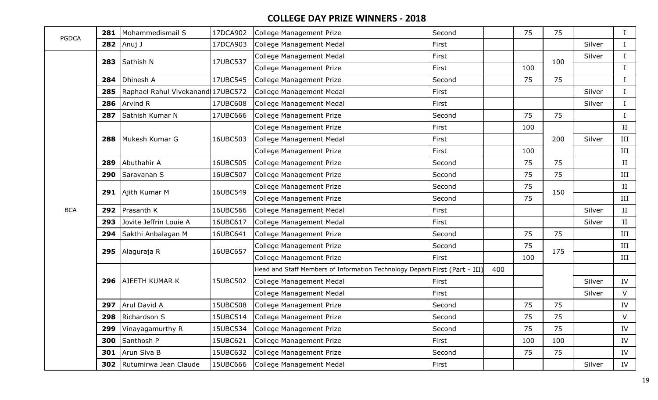| <b>PGDCA</b> | 281 | Mohammedismail S          | 17DCA902 | College Management Prize                                                   | Second |     | 75  | 75  |        | $\bf{I}$ |
|--------------|-----|---------------------------|----------|----------------------------------------------------------------------------|--------|-----|-----|-----|--------|----------|
|              | 282 | Anuj J                    | 17DCA903 | <b>College Management Medal</b>                                            | First  |     |     |     | Silver | $\bf{I}$ |
|              | 283 | Sathish N                 | 17UBC537 | College Management Medal                                                   | First  |     |     | 100 | Silver | $\bf{I}$ |
|              |     |                           |          | College Management Prize                                                   | First  |     | 100 |     |        | $\bf{I}$ |
|              | 284 | Dhinesh A                 | 17UBC545 | <b>College Management Prize</b>                                            | Second |     | 75  | 75  |        | $\bf{I}$ |
|              | 285 | Raphael Rahul Vivekanand  | 17UBC572 | <b>College Management Medal</b>                                            | First  |     |     |     | Silver | $\bf{I}$ |
|              | 286 | <b>Arvind R</b>           | 17UBC608 | <b>College Management Medal</b>                                            | First  |     |     |     | Silver | $\bf{I}$ |
|              | 287 | Sathish Kumar N           | 17UBC666 | College Management Prize                                                   | Second |     | 75  | 75  |        | $\bf{I}$ |
|              |     |                           |          | College Management Prize                                                   | First  |     | 100 |     |        | II       |
|              | 288 | Mukesh Kumar G            | 16UBC503 | College Management Medal                                                   | First  |     |     | 200 | Silver | III      |
|              |     |                           |          | College Management Prize                                                   | First  |     | 100 |     |        | III      |
|              | 289 | Abuthahir A               | 16UBC505 | <b>College Management Prize</b>                                            | Second |     | 75  | 75  |        | II       |
|              | 290 | Saravanan S               | 16UBC507 | <b>College Management Prize</b>                                            | Second |     | 75  | 75  |        | III      |
|              |     | Ajith Kumar M             | 16UBC549 | College Management Prize                                                   | Second |     | 75  | 150 |        | $\rm II$ |
|              | 291 |                           |          | College Management Prize                                                   | Second |     | 75  |     |        | III      |
| <b>BCA</b>   | 292 | Prasanth K                | 16UBC566 | <b>College Management Medal</b>                                            | First  |     |     |     | Silver | II       |
|              | 293 | Jovite Jeffrin Louie A    | 16UBC617 | <b>College Management Medal</b>                                            | First  |     |     |     | Silver | II       |
|              | 294 | Sakthi Anbalagan M        | 16UBC641 | College Management Prize                                                   | Second |     | 75  | 75  |        | III      |
|              | 295 | Alaguraja R               | 16UBC657 | College Management Prize                                                   | Second |     | 75  | 175 |        | III      |
|              |     |                           |          | College Management Prize                                                   | First  |     | 100 |     |        | III      |
|              |     |                           |          | Head and Staff Members of Information Technology Depart First (Part - III) |        | 400 |     |     |        |          |
|              | 296 | <b>AJEETH KUMAR K</b>     | 15UBC502 | College Management Medal                                                   | First  |     |     |     | Silver | IV       |
|              |     |                           |          | <b>College Management Medal</b>                                            | First  |     |     |     | Silver | $\vee$   |
|              | 297 | Arul David A              | 15UBC508 | College Management Prize                                                   | Second |     | 75  | 75  |        | IV       |
|              |     | 298 Richardson S          | 15UBC514 | College Management Prize                                                   | Second |     | 75  | 75  |        | $\vee$   |
|              | 299 | Vinayagamurthy R          | 15UBC534 | College Management Prize                                                   | Second |     | 75  | 75  |        | IV       |
|              | 300 | Santhosh P                | 15UBC621 | College Management Prize                                                   | First  |     | 100 | 100 |        | IV       |
|              |     | 301 Arun Siva B           | 15UBC632 | College Management Prize                                                   | Second |     | 75  | 75  |        | IV       |
|              |     | 302 Rutumirwa Jean Claude | 15UBC666 | <b>College Management Medal</b>                                            | First  |     |     |     | Silver | IV       |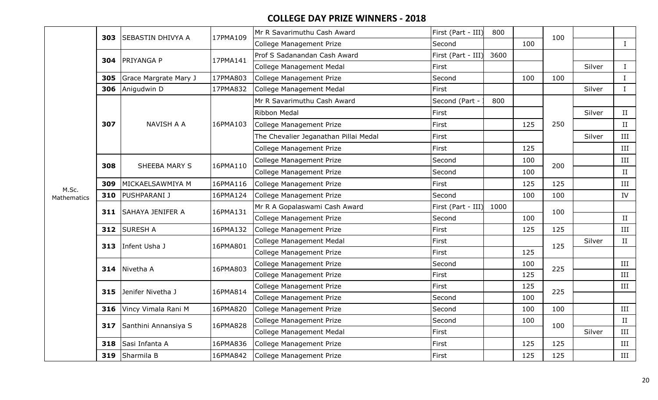|                      | 303 | SEBASTIN DHIVYA A       | 17PMA109 | Mr R Savarimuthu Cash Award           | First (Part - III) | 800  |     | 100 |        |              |
|----------------------|-----|-------------------------|----------|---------------------------------------|--------------------|------|-----|-----|--------|--------------|
|                      |     |                         |          | College Management Prize              | Second             |      | 100 |     |        | $\bf{I}$     |
|                      | 304 | PRIYANGA P              | 17PMA141 | Prof S Sadanandan Cash Award          | First (Part - III) | 3600 |     |     |        |              |
|                      |     |                         |          | College Management Medal              | First              |      |     |     | Silver | $\mathbf I$  |
|                      | 305 | Grace Margrate Mary J   | 17PMA803 | College Management Prize              | Second             |      | 100 | 100 |        | L            |
|                      | 306 | Anigudwin D             | 17PMA832 | College Management Medal              | First              |      |     |     | Silver | $\mathbf{I}$ |
|                      |     |                         |          | Mr R Savarimuthu Cash Award           | Second (Part -     | 800  |     |     |        |              |
|                      |     |                         |          | Ribbon Medal                          | First              |      |     |     | Silver | II           |
|                      | 307 | <b>NAVISH A A</b>       | 16PMA103 | College Management Prize              | First              |      | 125 | 250 |        | II           |
|                      |     |                         |          | The Chevalier Jeganathan Pillai Medal | First              |      |     |     | Silver | III          |
|                      |     |                         |          | <b>College Management Prize</b>       | First              |      | 125 |     |        | III          |
|                      | 308 | SHEEBA MARY S           | 16PMA110 | <b>College Management Prize</b>       | Second             |      | 100 | 200 |        | III          |
| M.Sc.<br>Mathematics |     |                         |          | College Management Prize              | Second             |      | 100 |     |        | II           |
|                      | 309 | MICKAELSAWMIYA M        | 16PMA116 | College Management Prize              | First              |      | 125 | 125 |        | III          |
|                      | 310 | <b>PUSHPARANI J</b>     | 16PMA124 | College Management Prize              | Second             |      | 100 | 100 |        | IV           |
|                      | 311 | <b>SAHAYA JENIFER A</b> | 16PMA131 | Mr R A Gopalaswami Cash Award         | First (Part - III) | 1000 |     | 100 |        |              |
|                      |     |                         |          | College Management Prize              | Second             |      | 100 |     |        | II           |
|                      | 312 | <b>SURESH A</b>         | 16PMA132 | College Management Prize              | First              |      | 125 | 125 |        | $\rm III$    |
|                      | 313 | Infent Usha J           | 16PMA801 | College Management Medal              | First              |      |     | 125 | Silver | $\rm II$     |
|                      |     |                         |          | College Management Prize              | First              |      | 125 |     |        |              |
|                      | 314 | Nivetha A               | 16PMA803 | College Management Prize              | Second             |      | 100 | 225 |        | III          |
|                      |     |                         |          | College Management Prize              | First              |      | 125 |     |        | III          |
|                      | 315 | Jenifer Nivetha J       | 16PMA814 | College Management Prize              | First              |      | 125 | 225 |        | III          |
|                      |     |                         |          | College Management Prize              | Second             |      | 100 |     |        |              |
|                      | 316 | Vincy Vimala Rani M     | 16PMA820 | College Management Prize              | Second             |      | 100 | 100 |        | III          |
|                      | 317 | Santhini Annansiya S    | 16PMA828 | <b>College Management Prize</b>       | Second             |      | 100 | 100 |        | II           |
|                      |     |                         |          | <b>College Management Medal</b>       | First              |      |     |     | Silver | III          |
|                      | 318 | Sasi Infanta A          | 16PMA836 | College Management Prize              | First              |      | 125 | 125 |        | III          |
|                      | 319 | Sharmila B              | 16PMA842 | College Management Prize              | First              |      | 125 | 125 |        | III          |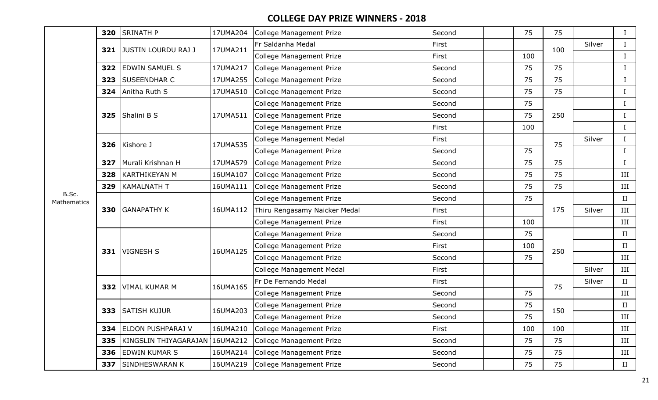|                      | 320 | <b>SRINATH P</b>               | 17UMA204 | College Management Prize        | Second | 75  | 75  |        | $\mathbf{I}$ |
|----------------------|-----|--------------------------------|----------|---------------------------------|--------|-----|-----|--------|--------------|
|                      | 321 | JUSTIN LOURDU RAJ J            | 17UMA211 | Fr Saldanha Medal               | First  |     | 100 | Silver | $\bf{I}$     |
|                      |     |                                |          | College Management Prize        | First  | 100 |     |        | $\mathbf{I}$ |
|                      | 322 | <b>EDWIN SAMUEL S</b>          | 17UMA217 | College Management Prize        | Second | 75  | 75  |        | $\mathbf{I}$ |
|                      | 323 | <b>SUSEENDHAR C</b>            | 17UMA255 | College Management Prize        | Second | 75  | 75  |        | $\mathbf{I}$ |
|                      | 324 | Anitha Ruth S                  | 17UMA510 | College Management Prize        | Second | 75  | 75  |        | $\mathbf{I}$ |
|                      |     |                                |          | College Management Prize        | Second | 75  |     |        | $\mathbf{I}$ |
|                      | 325 | Shalini B S                    | 17UMA511 | College Management Prize        | Second | 75  | 250 |        | $\bf{I}$     |
|                      |     |                                |          | College Management Prize        | First  | 100 |     |        | $\mathbf{I}$ |
|                      | 326 | Kishore J                      | 17UMA535 | College Management Medal        | First  |     | 75  | Silver | $\mathbf{I}$ |
|                      |     |                                |          | College Management Prize        | Second | 75  |     |        | $\mathbf{I}$ |
|                      | 327 | Murali Krishnan H              | 17UMA579 | College Management Prize        | Second | 75  | 75  |        | $\bf{I}$     |
| B.Sc.<br>Mathematics | 328 | KARTHIKEYAN M                  | 16UMA107 | College Management Prize        | Second | 75  | 75  |        | III          |
|                      | 329 | <b>KAMALNATH T</b>             | 16UMA111 | College Management Prize        | Second | 75  | 75  |        | III          |
|                      |     |                                |          | College Management Prize        | Second | 75  |     |        | II           |
|                      | 330 |                                | 16UMA112 | Thiru Rengasamy Naicker Medal   | First  |     | 175 | Silver | III          |
|                      |     |                                |          | College Management Prize        | First  | 100 |     |        | III          |
|                      |     | <b>GANAPATHY K</b>             |          | College Management Prize        | Second | 75  |     |        | II           |
|                      |     | 331   VIGNESH S                | 16UMA125 | College Management Prize        | First  | 100 | 250 |        | II           |
|                      |     |                                |          | College Management Prize        | Second | 75  |     |        | III          |
|                      |     |                                |          | <b>College Management Medal</b> | First  |     |     | Silver | III          |
|                      | 332 | <b>VIMAL KUMAR M</b>           | 16UMA165 | Fr De Fernando Medal            | First  |     | 75  | Silver | II           |
|                      |     |                                |          | College Management Prize        | Second | 75  |     |        | III          |
|                      | 333 | <b>SATISH KUJUR</b>            | 16UMA203 | College Management Prize        | Second | 75  | 150 |        | II           |
|                      |     |                                |          | College Management Prize        | Second | 75  |     |        | III          |
|                      | 334 | <b>ELDON PUSHPARAJ V</b>       | 16UMA210 | College Management Prize        | First  | 100 | 100 |        | III          |
|                      | 335 | KINGSLIN THIYAGARAJAN 16UMA212 |          | College Management Prize        | Second | 75  | 75  |        | III          |
|                      | 336 | <b>EDWIN KUMAR S</b>           | 16UMA214 | College Management Prize        | Second | 75  | 75  |        | Ш            |
|                      | 337 | SINDHESWARAN K                 | 16UMA219 | College Management Prize        | Second | 75  | 75  |        | II           |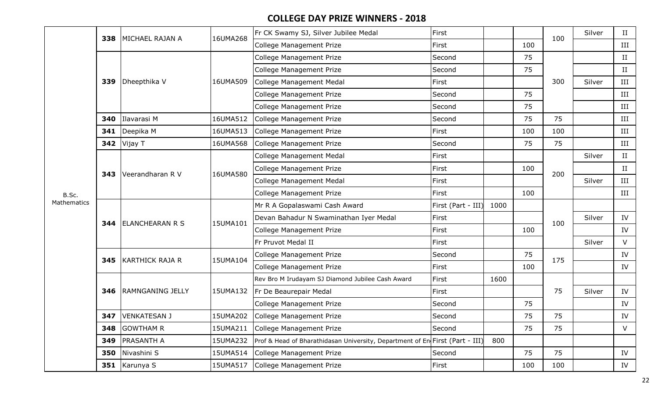|                      | 338 | MICHAEL RAJAN A         | 16UMA268 | Fr CK Swamy SJ, Silver Jubilee Medal                                         | First              |      |     | 100 | Silver | II          |
|----------------------|-----|-------------------------|----------|------------------------------------------------------------------------------|--------------------|------|-----|-----|--------|-------------|
|                      |     |                         |          | College Management Prize                                                     | First              |      | 100 |     |        | III         |
|                      |     |                         |          | College Management Prize                                                     | Second             |      | 75  |     |        | $_{\rm II}$ |
|                      |     |                         |          | College Management Prize                                                     | Second             |      | 75  |     |        | П           |
|                      | 339 | Dheepthika V            | 16UMA509 | College Management Medal                                                     | First              |      |     | 300 | Silver | III         |
|                      |     |                         |          | College Management Prize                                                     | Second             |      | 75  |     |        | III         |
|                      |     |                         |          | College Management Prize                                                     | Second             |      | 75  |     |        | III         |
|                      | 340 | Ilavarasi M             | 16UMA512 | <b>College Management Prize</b>                                              | Second             |      | 75  | 75  |        | III         |
|                      | 341 | Deepika M               | 16UMA513 | <b>College Management Prize</b>                                              | First              |      | 100 | 100 |        | $\rm III$   |
|                      | 342 | Vijay T                 | 16UMA568 | <b>College Management Prize</b>                                              | Second             |      | 75  | 75  |        | III         |
|                      |     |                         |          | College Management Medal                                                     | First              |      |     |     | Silver | $_{\rm II}$ |
| B.Sc.<br>Mathematics | 343 | Veerandharan R V        | 16UMA580 | College Management Prize                                                     | First              |      | 100 | 200 |        | $_{\rm II}$ |
|                      |     |                         |          | College Management Medal                                                     | First              |      |     |     | Silver | III         |
|                      |     |                         |          | College Management Prize                                                     | First              |      | 100 |     |        | III         |
|                      |     |                         |          | Mr R A Gopalaswami Cash Award                                                | First (Part - III) | 1000 |     |     |        |             |
|                      | 344 | ELANCHEARAN R S         | 15UMA101 | Devan Bahadur N Swaminathan Iyer Medal                                       | First              |      |     | 100 | Silver | IV          |
|                      |     |                         |          | College Management Prize                                                     | First              |      | 100 |     |        | IV          |
|                      |     |                         |          | Fr Pruvot Medal II                                                           | First              |      |     |     | Silver | $\vee$      |
|                      | 345 | <b>KARTHICK RAJA R</b>  | 15UMA104 | College Management Prize                                                     | Second             |      | 75  | 175 |        | IV          |
|                      |     |                         |          | <b>College Management Prize</b>                                              | First              |      | 100 |     |        | IV          |
|                      |     |                         |          | Rev Bro M Irudayam SJ Diamond Jubilee Cash Award                             | First              | 1600 |     |     |        |             |
|                      | 346 | <b>RAMNGANING JELLY</b> | 15UMA132 | Fr De Beaurepair Medal                                                       | First              |      |     | 75  | Silver | IV          |
|                      |     |                         |          | College Management Prize                                                     | Second             |      | 75  |     |        | IV          |
|                      |     | 347   VENKATESAN J      | 15UMA202 | College Management Prize                                                     | Second             |      | 75  | 75  |        | IV          |
|                      | 348 | <b>GOWTHAM R</b>        | 15UMA211 | College Management Prize                                                     | Second             |      | 75  | 75  |        | V           |
|                      | 349 | <b>PRASANTH A</b>       | 15UMA232 | Prof & Head of Bharathidasan University, Department of En First (Part - III) |                    | 800  |     |     |        |             |
|                      | 350 | Nivashini S             | 15UMA514 | <b>College Management Prize</b>                                              | Second             |      | 75  | 75  |        | IV          |
|                      | 351 | Karunya S               | 15UMA517 | College Management Prize                                                     | First              |      | 100 | 100 |        | IV          |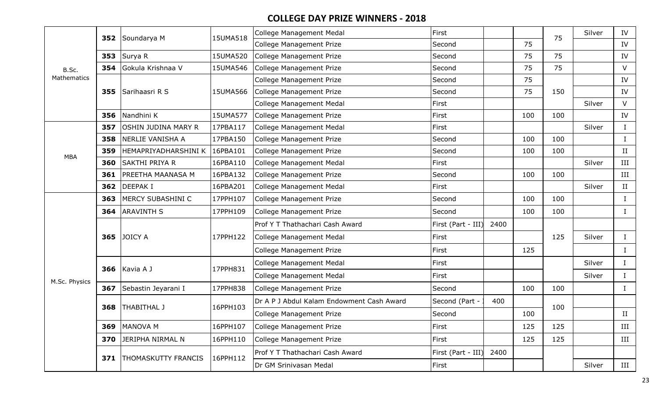|               | 352 | Soundarya M                | 15UMA518 | <b>College Management Medal</b>           | First              |      |     | 75  | Silver | IV          |
|---------------|-----|----------------------------|----------|-------------------------------------------|--------------------|------|-----|-----|--------|-------------|
|               |     |                            |          | <b>College Management Prize</b>           | Second             |      | 75  |     |        | IV          |
|               | 353 | Surya R                    | 15UMA520 | <b>College Management Prize</b>           | Second             |      | 75  | 75  |        | IV          |
| B.Sc.         | 354 | Gokula Krishnaa V          | 15UMA546 | <b>College Management Prize</b>           | Second             |      | 75  | 75  |        | $\vee$      |
| Mathematics   |     |                            |          | <b>College Management Prize</b>           | Second             |      | 75  |     |        | IV          |
|               | 355 | Sarihaasri R S             | 15UMA566 | <b>College Management Prize</b>           | Second             |      | 75  | 150 |        | IV          |
|               |     |                            |          | College Management Medal                  | First              |      |     |     | Silver | $\vee$      |
|               | 356 | Nandhini K                 | 15UMA577 | <b>College Management Prize</b>           | First              |      | 100 | 100 |        | IV          |
|               | 357 | OSHIN JUDINA MARY R        | 17PBA117 | <b>College Management Medal</b>           | First              |      |     |     | Silver | $\bf I$     |
|               | 358 | NERLIE VANISHA A           | 17PBA150 | <b>College Management Prize</b>           | Second             |      | 100 | 100 |        | $\bf I$     |
| <b>MBA</b>    | 359 | HEMAPRIYADHARSHINI K       | 16PBA101 | <b>College Management Prize</b>           | Second             |      | 100 | 100 |        | $\rm II$    |
|               | 360 | SAKTHI PRIYA R             | 16PBA110 | <b>College Management Medal</b>           | First              |      |     |     | Silver | $\rm III$   |
|               | 361 | PREETHA MAANASA M          | 16PBA132 | <b>College Management Prize</b>           | Second             |      | 100 | 100 |        | $\rm III$   |
|               | 362 | <b>DEEPAKI</b>             | 16PBA201 | <b>College Management Medal</b>           | First              |      |     |     | Silver | II          |
|               | 363 | MERCY SUBASHINI C          | 17PPH107 | College Management Prize                  | Second             |      | 100 | 100 |        | I           |
|               | 364 | <b>ARAVINTH S</b>          | 17PPH109 | College Management Prize                  | Second             |      | 100 | 100 |        |             |
|               |     |                            |          | Prof Y T Thathachari Cash Award           | First (Part - III) | 2400 |     |     |        |             |
|               | 365 | <b>JOICY A</b>             | 17PPH122 | <b>College Management Medal</b>           | First              |      |     | 125 | Silver | $\bf{I}$    |
|               |     |                            |          | College Management Prize                  | First              |      | 125 |     |        | $\bf{I}$    |
|               | 366 |                            | 17PPH831 | College Management Medal                  | First              |      |     |     | Silver | $\rm I$     |
|               |     | Kavia A J                  |          | <b>College Management Medal</b>           | First              |      |     |     | Silver | $\bf{I}$    |
| M.Sc. Physics | 367 | Sebastin Jeyarani I        | 17PPH838 | <b>College Management Prize</b>           | Second             |      | 100 | 100 |        | $\mathbf I$ |
|               | 368 | THABITHAL J                | 16PPH103 | Dr A P J Abdul Kalam Endowment Cash Award | Second (Part -     | 400  |     | 100 |        |             |
|               |     |                            |          | College Management Prize                  | Second             |      | 100 |     |        | II          |
|               | 369 | <b>MANOVA M</b>            | 16PPH107 | College Management Prize                  | First              |      | 125 | 125 |        | III         |
|               | 370 | JERIPHA NIRMAL N           | 16PPH110 | College Management Prize                  | First              |      | 125 | 125 |        | III         |
|               |     |                            | 16PPH112 | Prof Y T Thathachari Cash Award           | First (Part - III) | 2400 |     |     |        |             |
|               | 371 | <b>THOMASKUTTY FRANCIS</b> |          | Dr GM Srinivasan Medal                    | First              |      |     |     | Silver | III         |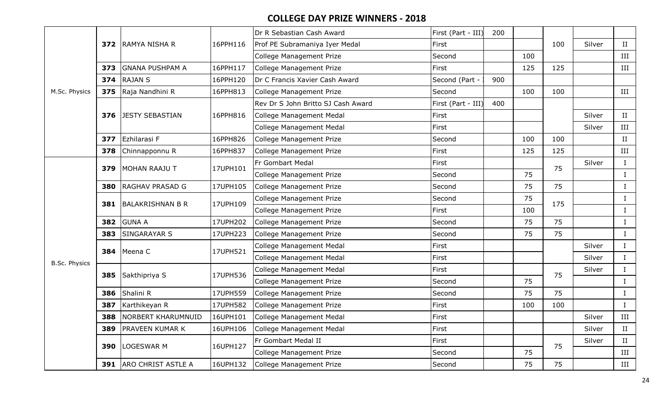|                      |     |                               |          | Dr R Sebastian Cash Award          | First (Part - III) | 200 |     |     |        |              |
|----------------------|-----|-------------------------------|----------|------------------------------------|--------------------|-----|-----|-----|--------|--------------|
|                      |     | 372 RAMYA NISHA R             | 16PPH116 | Prof PE Subramaniya Iyer Medal     | First              |     |     | 100 | Silver | II           |
|                      |     |                               |          | College Management Prize           | Second             |     | 100 |     |        | III          |
|                      | 373 | <b>GNANA PUSHPAM A</b>        | 16PPH117 | <b>College Management Prize</b>    | First              |     | 125 | 125 |        | III          |
|                      | 374 | <b>RAJAN S</b>                | 16PPH120 | Dr C Francis Xavier Cash Award     | Second (Part -     | 900 |     |     |        |              |
| M.Sc. Physics        | 375 | Raja Nandhini R               | 16PPH813 | <b>College Management Prize</b>    | Second             |     | 100 | 100 |        | III          |
|                      |     |                               |          | Rev Dr S John Britto SJ Cash Award | First (Part - III) | 400 |     |     |        |              |
|                      | 376 | <b>JESTY SEBASTIAN</b>        | 16PPH816 | <b>College Management Medal</b>    | First              |     |     |     | Silver | $\rm II$     |
|                      |     |                               |          | College Management Medal           | First              |     |     |     | Silver | III          |
|                      | 377 | Ezhilarasi F                  | 16PPH826 | College Management Prize           | Second             |     | 100 | 100 |        | II           |
|                      | 378 | Chinnapponnu R                | 16PPH837 | College Management Prize           | First              |     | 125 | 125 |        | III          |
|                      | 379 | MOHAN RAAJU T                 | 17UPH101 | Fr Gombart Medal                   | First              |     |     | 75  | Silver | $\mathbf I$  |
|                      |     |                               |          | College Management Prize           | Second             |     | 75  |     |        | $\mathbf{I}$ |
|                      | 380 | <b>RAGHAV PRASAD G</b>        | 17UPH105 | <b>College Management Prize</b>    | Second             |     | 75  | 75  |        | $\bf{I}$     |
|                      | 381 | BALAKRISHNAN B R              | 17UPH109 | College Management Prize           | Second             |     | 75  | 175 |        | $\mathbf{I}$ |
|                      |     |                               |          | College Management Prize           | First              |     | 100 |     |        | $\bf{I}$     |
|                      | 382 | <b>GUNA A</b>                 | 17UPH202 | <b>College Management Prize</b>    | Second             |     | 75  | 75  |        | $\bf{I}$     |
|                      | 383 | <b>SINGARAYAR S</b>           | 17UPH223 | <b>College Management Prize</b>    | Second             |     | 75  | 75  |        | $\bf{I}$     |
|                      |     | 384 Meena C                   | 17UPH521 | College Management Medal           | First              |     |     |     | Silver | $\mathbf{I}$ |
| <b>B.Sc. Physics</b> |     |                               |          | <b>College Management Medal</b>    | First              |     |     |     | Silver | $\bf{I}$     |
|                      | 385 | Sakthipriya S                 | 17UPH536 | College Management Medal           | First              |     |     | 75  | Silver | $\bf{I}$     |
|                      |     |                               |          | College Management Prize           | Second             |     | 75  |     |        | $\bf{I}$     |
|                      | 386 | Shalini R                     | 17UPH559 | <b>College Management Prize</b>    | Second             |     | 75  | 75  |        | $\bf{I}$     |
|                      | 387 | Karthikeyan R                 | 17UPH582 | <b>College Management Prize</b>    | First              |     | 100 | 100 |        | $\bf{I}$     |
|                      | 388 | NORBERT KHARUMNUID            | 16UPH101 | <b>College Management Medal</b>    | First              |     |     |     | Silver | III          |
|                      | 389 | <b>PRAVEEN KUMAR K</b>        | 16UPH106 | <b>College Management Medal</b>    | First              |     |     |     | Silver | II           |
|                      | 390 | LOGESWAR M                    | 16UPH127 | Fr Gombart Medal II                | First              |     |     | 75  | Silver | II           |
|                      |     |                               |          | College Management Prize           | Second             |     | 75  |     |        | III          |
|                      |     | <b>391</b> ARO CHRIST ASTLE A | 16UPH132 | <b>College Management Prize</b>    | Second             |     | 75  | 75  |        | III          |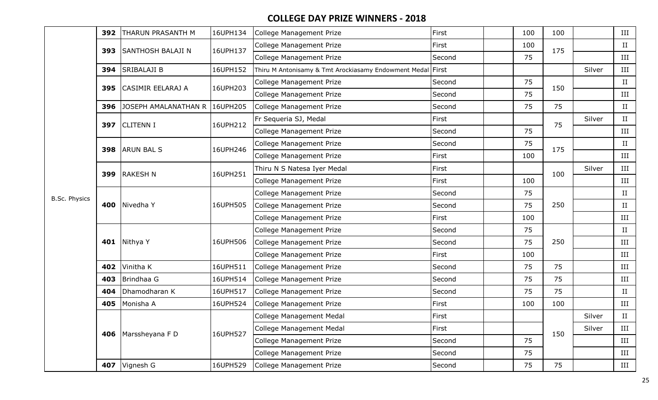|               | 392 | <b>THARUN PRASANTH M</b> | 16UPH134 | College Management Prize                                   | First  | 100 | 100 |        | III |
|---------------|-----|--------------------------|----------|------------------------------------------------------------|--------|-----|-----|--------|-----|
|               | 393 | <b>SANTHOSH BALAJI N</b> | 16UPH137 | <b>College Management Prize</b>                            | First  | 100 | 175 |        | II  |
|               |     |                          |          | College Management Prize                                   | Second | 75  |     |        | III |
|               | 394 | <b>SRIBALAJI B</b>       | 16UPH152 | Thiru M Antonisamy & Tmt Arockiasamy Endowment Medal First |        |     |     | Silver | III |
|               | 395 | CASIMIR EELARAJ A        | 16UPH203 | College Management Prize                                   | Second | 75  | 150 |        | II  |
|               |     |                          |          | College Management Prize                                   | Second | 75  |     |        | III |
|               | 396 | JOSEPH AMALANATHAN R     | 16UPH205 | College Management Prize                                   | Second | 75  | 75  |        | II  |
|               |     | 397 CLITENN I            | 16UPH212 | Fr Sequeria SJ, Medal                                      | First  |     | 75  | Silver | II  |
|               |     |                          |          | College Management Prize                                   | Second | 75  |     |        | III |
|               | 398 | <b>ARUN BAL S</b>        | 16UPH246 | College Management Prize                                   | Second | 75  | 175 |        | II  |
|               |     |                          |          | College Management Prize                                   | First  | 100 |     |        | III |
|               | 399 | <b>RAKESH N</b>          | 16UPH251 | Thiru N S Natesa Iyer Medal                                | First  |     | 100 | Silver | III |
|               |     |                          |          | College Management Prize                                   | First  | 100 |     |        | III |
| B.Sc. Physics |     |                          |          | College Management Prize                                   | Second | 75  |     |        | II  |
|               |     | 400 Nivedha Y            | 16UPH505 | College Management Prize                                   | Second | 75  | 250 |        | II  |
|               |     |                          |          | College Management Prize                                   | First  | 100 |     |        | III |
|               |     |                          |          | <b>College Management Prize</b>                            | Second | 75  |     |        | II  |
|               | 401 | Nithya Y                 | 16UPH506 | College Management Prize                                   | Second | 75  | 250 |        | III |
|               |     |                          |          | College Management Prize                                   | First  | 100 |     |        | III |
|               |     | 402 Vinitha K            | 16UPH511 | College Management Prize                                   | Second | 75  | 75  |        | III |
|               | 403 | Brindhaa G               | 16UPH514 | College Management Prize                                   | Second | 75  | 75  |        | III |
|               | 404 | Dhamodharan K            | 16UPH517 | College Management Prize                                   | Second | 75  | 75  |        | II  |
|               | 405 | Monisha A                | 16UPH524 | College Management Prize                                   | First  | 100 | 100 |        | III |
|               |     |                          |          | College Management Medal                                   | First  |     |     | Silver | II  |
|               |     | 406   Marssheyana F D    | 16UPH527 | College Management Medal                                   | First  |     | 150 | Silver | III |
|               |     |                          |          | College Management Prize                                   | Second | 75  |     |        | III |
|               |     |                          |          | College Management Prize                                   | Second | 75  |     |        | III |
|               |     | 407 Vignesh G            | 16UPH529 | College Management Prize                                   | Second | 75  | 75  |        | III |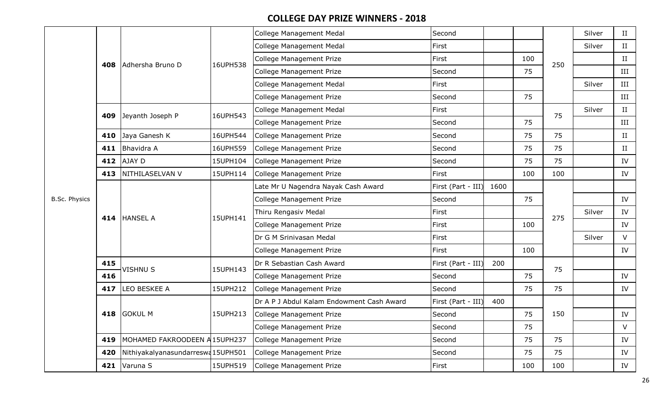|                      |     |                                     |          | <b>College Management Medal</b>           | Second             |      |     |     | Silver | II          |
|----------------------|-----|-------------------------------------|----------|-------------------------------------------|--------------------|------|-----|-----|--------|-------------|
|                      |     |                                     |          | College Management Medal                  | First              |      |     |     | Silver | $_{\rm II}$ |
|                      |     | 408 Adhersha Bruno D                | 16UPH538 | College Management Prize                  | First              |      | 100 | 250 |        | $\;$ II     |
|                      |     |                                     |          | <b>College Management Prize</b>           | Second             |      | 75  |     |        | III         |
|                      |     |                                     |          | College Management Medal                  | First              |      |     |     | Silver | III         |
|                      |     |                                     |          | College Management Prize                  | Second             |      | 75  |     |        | III         |
|                      | 409 | Jeyanth Joseph P                    | 16UPH543 | College Management Medal                  | First              |      |     | 75  | Silver | II          |
|                      |     |                                     |          | College Management Prize                  | Second             |      | 75  |     |        | III         |
|                      | 410 | Jaya Ganesh K                       | 16UPH544 | College Management Prize                  | Second             |      | 75  | 75  |        | II          |
|                      | 411 | Bhavidra A                          | 16UPH559 | College Management Prize                  | Second             |      | 75  | 75  |        | П           |
|                      | 412 | AJAY D                              | 15UPH104 | College Management Prize                  | Second             |      | 75  | 75  |        | IV          |
|                      | 413 | NITHILASELVAN V                     | 15UPH114 | College Management Prize                  | First              |      | 100 | 100 |        | IV          |
|                      |     |                                     |          | ate Mr U Nagendra Nayak Cash Award        | First (Part - III) | 1600 |     |     |        |             |
| <b>B.Sc. Physics</b> |     |                                     |          | College Management Prize                  | Second             |      | 75  |     |        | IV          |
|                      |     | 414 HANSEL A                        | 15UPH141 | Thiru Rengasiv Medal                      | First              |      |     | 275 | Silver | IV          |
|                      |     |                                     |          | College Management Prize                  | First              |      | 100 |     |        | IV          |
|                      |     |                                     |          | Dr G M Srinivasan Medal                   | First              |      |     |     | Silver | $\vee$      |
|                      |     |                                     |          | College Management Prize                  | First              |      | 100 |     |        | IV          |
|                      | 415 | <b>VISHNU S</b>                     | 15UPH143 | Dr R Sebastian Cash Award                 | First (Part - III) | 200  |     | 75  |        |             |
|                      | 416 |                                     |          | College Management Prize                  | Second             |      | 75  |     |        | IV          |
|                      | 417 | LEO BESKEE A                        | 15UPH212 | College Management Prize                  | Second             |      | 75  | 75  |        | IV          |
|                      |     |                                     |          | Dr A P J Abdul Kalam Endowment Cash Award | First (Part - III) | 400  |     |     |        |             |
|                      |     | 418 GOKUL M                         | 15UPH213 | College Management Prize                  | Second             |      | 75  | 150 |        | IV          |
|                      |     |                                     |          | <b>College Management Prize</b>           | Second             |      | 75  |     |        | V           |
|                      |     | 419   MOHAMED FAKROODEEN A 15UPH237 |          | College Management Prize                  | Second             |      | 75  | 75  |        | IV          |
|                      | 420 | Nithiyakalyanasundarreswa15UPH501   |          | College Management Prize                  | Second             |      | 75  | 75  |        | IV          |
|                      |     | 421 $\sqrt{\text{Varuna S}}$        | 15UPH519 | College Management Prize                  | First              |      | 100 | 100 |        | IV          |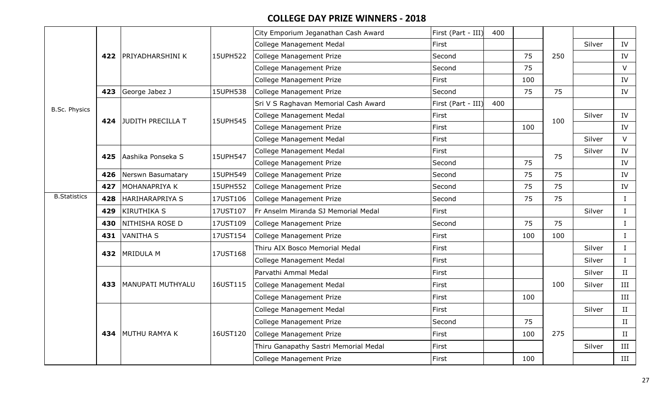|                      |     |                        |          | City Emporium Jeganathan Cash Award   | First (Part - III) | 400 |     |     |        |              |
|----------------------|-----|------------------------|----------|---------------------------------------|--------------------|-----|-----|-----|--------|--------------|
|                      |     |                        |          | <b>College Management Medal</b>       | First              |     |     |     | Silver | IV           |
|                      | 422 | PRIYADHARSHINI K       | 15UPH522 | College Management Prize              | Second             |     | 75  | 250 |        | IV           |
|                      |     |                        |          | College Management Prize              | Second             |     | 75  |     |        | V            |
|                      |     |                        |          | <b>College Management Prize</b>       | First              |     | 100 |     |        | IV           |
|                      | 423 | George Jabez J         | 15UPH538 | <b>College Management Prize</b>       | Second             |     | 75  | 75  |        | IV           |
| <b>B.Sc. Physics</b> |     |                        |          | Sri V S Raghavan Memorial Cash Award  | First (Part - III) | 400 |     |     |        |              |
|                      | 424 | JUDITH PRECILLA T      | 15UPH545 | College Management Medal              | First              |     |     | 100 | Silver | IV           |
|                      |     |                        |          | <b>College Management Prize</b>       | First              |     | 100 |     |        | IV           |
|                      |     |                        |          | <b>College Management Medal</b>       | First              |     |     |     | Silver | $\vee$       |
|                      | 425 | Aashika Ponseka S      | 15UPH547 | <b>College Management Medal</b>       | First              |     |     | 75  | Silver | IV           |
|                      |     |                        |          | <b>College Management Prize</b>       | Second             |     | 75  |     |        | IV           |
|                      | 426 | Nerswn Basumatary      | 15UPH549 | College Management Prize              | Second             |     | 75  | 75  |        | IV           |
|                      | 427 | MOHANAPRIYA K          | 15UPH552 | College Management Prize              | Second             |     | 75  | 75  |        | IV           |
| <b>B.Statistics</b>  | 428 | <b>HARIHARAPRIYA S</b> | 17UST106 | College Management Prize              | Second             |     | 75  | 75  |        | $\mathbf{I}$ |
|                      | 429 | <b>KIRUTHIKA S</b>     | 17UST107 | Fr Anselm Miranda SJ Memorial Medal   | First              |     |     |     | Silver | $\bf{I}$     |
|                      | 430 | NITHISHA ROSE D        | 17UST109 | College Management Prize              | Second             |     | 75  | 75  |        | $\mathbf{I}$ |
|                      | 431 | <b>VANITHA S</b>       | 17UST154 | College Management Prize              | First              |     | 100 | 100 |        | $\bf{I}$     |
|                      |     | <b>MRIDULA M</b>       |          | Thiru AIX Bosco Memorial Medal        | First              |     |     |     | Silver | $\mathbf{I}$ |
|                      | 432 |                        | 17UST168 | College Management Medal              | First              |     |     |     | Silver | $\mathbf{I}$ |
|                      |     |                        |          | Parvathi Ammal Medal                  | First              |     |     |     | Silver | II           |
|                      | 433 | MANUPATI MUTHYALU      | 16UST115 | <b>College Management Medal</b>       | First              |     |     | 100 | Silver | III          |
|                      |     |                        |          | College Management Prize              | First              |     | 100 |     |        | III          |
|                      |     |                        |          | College Management Medal              | First              |     |     |     | Silver | II           |
|                      |     |                        |          | <b>College Management Prize</b>       | Second             |     | 75  |     |        | II           |
|                      | 434 | <b>MUTHU RAMYA K</b>   | 16UST120 | <b>College Management Prize</b>       | First              |     | 100 | 275 |        | II           |
|                      |     |                        |          | Thiru Ganapathy Sastri Memorial Medal | First              |     |     |     | Silver | III          |
|                      |     |                        |          | <b>College Management Prize</b>       | First              |     | 100 |     |        | III          |
|                      |     |                        |          |                                       |                    |     |     |     |        |              |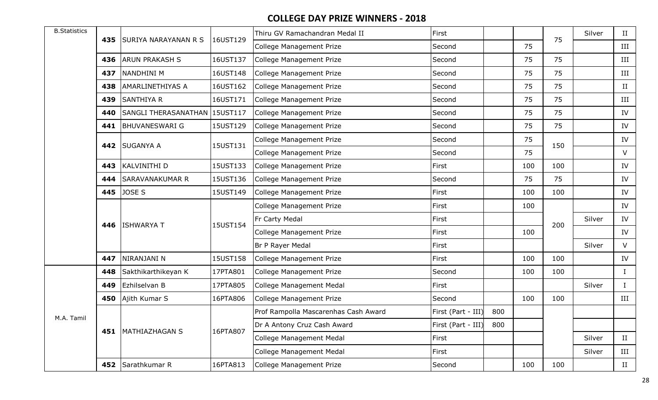| <b>B.Statistics</b> |     |                             | 16UST129 | Thiru GV Ramachandran Medal II       | First              |     |     | 75  | Silver | II                   |
|---------------------|-----|-----------------------------|----------|--------------------------------------|--------------------|-----|-----|-----|--------|----------------------|
|                     | 435 | <b>SURIYA NARAYANAN R S</b> |          | College Management Prize             | Second             |     | 75  |     |        | III                  |
|                     | 436 | <b>ARUN PRAKASH S</b>       | 16UST137 | College Management Prize             | Second             |     | 75  | 75  |        | $\rm III$            |
|                     | 437 | NANDHINI M                  | 16UST148 | College Management Prize             | Second             |     | 75  | 75  |        | III                  |
|                     | 438 | <b>AMARLINETHIYAS A</b>     | 16UST162 | College Management Prize             | Second             |     | 75  | 75  |        | $_{\rm II}$          |
|                     | 439 | <b>SANTHIYA R</b>           | 16UST171 | College Management Prize             | Second             |     | 75  | 75  |        | III                  |
|                     | 440 | SANGLI THERASANATHAN        | 15UST117 | College Management Prize             | Second             |     | 75  | 75  |        | IV                   |
|                     | 441 | <b>BHUVANESWARI G</b>       | 15UST129 | College Management Prize             | Second             |     | 75  | 75  |        | IV                   |
|                     |     |                             | 15UST131 | College Management Prize             | Second             |     | 75  |     |        | IV                   |
|                     | 442 | <b>SUGANYA A</b>            |          | College Management Prize             | Second             |     | 75  | 150 |        | V                    |
|                     | 443 | KALVINITHI D                | 15UST133 | College Management Prize             | First              |     | 100 | 100 |        | IV                   |
|                     | 444 | <b>SARAVANAKUMAR R</b>      | 15UST136 | College Management Prize             | Second             |     | 75  | 75  |        | IV                   |
|                     | 445 | JOSE S                      | 15UST149 | College Management Prize             | First              |     | 100 | 100 |        | IV                   |
|                     |     |                             |          | College Management Prize             | First              |     | 100 |     |        | IV                   |
|                     |     |                             | 15UST154 | Fr Carty Medal                       | First              |     |     | 200 | Silver | IV                   |
|                     |     | 446 ISHWARYA T              |          | College Management Prize             | First              |     | 100 |     |        | IV                   |
|                     |     |                             |          | Br P Rayer Medal                     | First              |     |     |     | Silver | $\vee$               |
|                     | 447 | NIRANJANI N                 | 15UST158 | College Management Prize             | First              |     | 100 | 100 |        | IV                   |
|                     | 448 | Sakthikarthikeyan K         | 17PTA801 | College Management Prize             | Second             |     | 100 | 100 |        | $\mathbf I$          |
|                     | 449 | Ezhilselvan B               | 17PTA805 | College Management Medal             | First              |     |     |     | Silver | $\mathbf I$          |
|                     | 450 | Ajith Kumar S               | 16PTA806 | College Management Prize             | Second             |     | 100 | 100 |        | III                  |
|                     |     |                             |          | Prof Rampolla Mascarenhas Cash Award | First (Part - III) | 800 |     |     |        |                      |
| M.A. Tamil          |     |                             |          | Dr A Antony Cruz Cash Award          | First (Part - III) | 800 |     |     |        |                      |
|                     |     | 451   MATHIAZHAGAN S        | 16PTA807 | College Management Medal             | First              |     |     |     | Silver | II                   |
|                     |     |                             |          | College Management Medal             | First              |     |     |     | Silver | III                  |
|                     |     | 452 Sarathkumar R           | 16PTA813 | College Management Prize             | Second             |     | 100 | 100 |        | $\scriptstyle\rm II$ |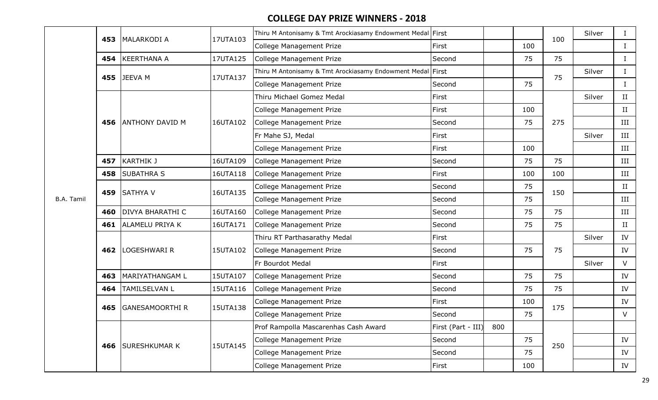|                   | 453 | MALARKODI A             | 17UTA103 | Thiru M Antonisamy & Tmt Arockiasamy Endowment Medal First |                    |     |     | 100 | Silver | $\bf{I}$    |
|-------------------|-----|-------------------------|----------|------------------------------------------------------------|--------------------|-----|-----|-----|--------|-------------|
|                   |     |                         |          | College Management Prize                                   | First              |     | 100 |     |        | $\bf{I}$    |
|                   | 454 | <b>KEERTHANA A</b>      | 17UTA125 | College Management Prize                                   | Second             |     | 75  | 75  |        | $\bf{I}$    |
|                   | 455 | JEEVA M                 | 17UTA137 | Thiru M Antonisamy & Tmt Arockiasamy Endowment Medal First |                    |     |     | 75  | Silver | $\bf{I}$    |
|                   |     |                         |          | College Management Prize                                   | Second             |     | 75  |     |        | $\bf{I}$    |
|                   |     |                         |          | Thiru Michael Gomez Medal                                  | First              |     |     |     | Silver | $_{\rm II}$ |
|                   |     |                         |          | <b>College Management Prize</b>                            | First              |     | 100 |     |        | II          |
|                   | 456 | <b>ANTHONY DAVID M</b>  | 16UTA102 | College Management Prize                                   | Second             |     | 75  | 275 |        | III         |
|                   |     |                         |          | Fr Mahe SJ, Medal                                          | First              |     |     |     | Silver | III         |
|                   |     |                         |          | <b>College Management Prize</b>                            | First              |     | 100 |     |        | III         |
|                   | 457 | <b>KARTHIK J</b>        | 16UTA109 | College Management Prize                                   | Second             |     | 75  | 75  |        | III         |
|                   | 458 | <b>SUBATHRA S</b>       | 16UTA118 | College Management Prize                                   | First              |     | 100 | 100 |        | III         |
|                   | 459 | <b>SATHYA V</b>         | 16UTA135 | College Management Prize                                   | Second             |     | 75  | 150 |        | $\rm II$    |
| <b>B.A. Tamil</b> |     |                         |          | College Management Prize                                   | Second             |     | 75  |     |        | $\rm III$   |
|                   | 460 | <b>DIVYA BHARATHI C</b> | 16UTA160 | College Management Prize                                   | Second             |     | 75  | 75  |        | III         |
|                   | 461 | <b>ALAMELU PRIYA K</b>  | 16UTA171 | College Management Prize                                   | Second             |     | 75  | 75  |        | $_{\rm II}$ |
|                   |     |                         |          | Thiru RT Parthasarathy Medal                               | First              |     |     |     | Silver | IV          |
|                   | 462 | LOGESHWARI R            | 15UTA102 | College Management Prize                                   | Second             |     | 75  | 75  |        | IV          |
|                   |     |                         |          | Fr Bourdot Medal                                           | First              |     |     |     | Silver | $\vee$      |
|                   | 463 | MARIYATHANGAM L         | 15UTA107 | College Management Prize                                   | Second             |     | 75  | 75  |        | IV          |
|                   | 464 | <b>TAMILSELVAN L</b>    | 15UTA116 | College Management Prize                                   | Second             |     | 75  | 75  |        | IV          |
|                   | 465 | <b>GANESAMOORTHI R</b>  | 15UTA138 | College Management Prize                                   | First              |     | 100 | 175 |        | IV          |
|                   |     |                         |          | College Management Prize                                   | Second             |     | 75  |     |        | V           |
|                   |     |                         |          | Prof Rampolla Mascarenhas Cash Award                       | First (Part - III) | 800 |     |     |        |             |
|                   |     | 466 SURESHKUMAR K       | 15UTA145 | College Management Prize                                   | Second             |     | 75  | 250 |        | IV          |
|                   |     |                         |          | College Management Prize                                   | Second             |     | 75  |     |        | IV          |
|                   |     |                         |          | College Management Prize                                   | First              |     | 100 |     |        | IV          |
|                   |     |                         |          |                                                            |                    |     |     |     |        |             |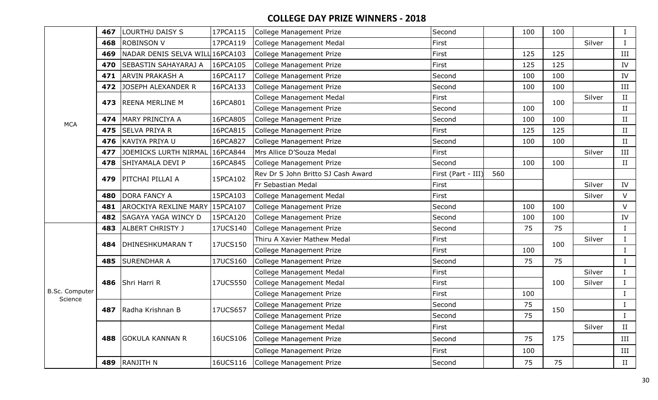|                                         | 467 | <b>LOURTHU DAISY S</b>          | 17PCA115 | <b>College Management Prize</b>    | Second             |     | 100 | 100 |        | $\bf{I}$     |
|-----------------------------------------|-----|---------------------------------|----------|------------------------------------|--------------------|-----|-----|-----|--------|--------------|
|                                         | 468 | <b>ROBINSON V</b>               | 17PCA119 | <b>College Management Medal</b>    | First              |     |     |     | Silver | $\bf{I}$     |
|                                         | 469 | NADAR DENIS SELVA WILL 16PCA103 |          | <b>College Management Prize</b>    | First              |     | 125 | 125 |        | $\rm III$    |
|                                         | 470 | SEBASTIN SAHAYARAJ A            | 16PCA105 | College Management Prize           | First              |     | 125 | 125 |        | IV           |
|                                         | 471 | <b>ARVIN PRAKASH A</b>          | 16PCA117 | <b>College Management Prize</b>    | Second             |     | 100 | 100 |        | IV           |
|                                         | 472 | <b>JOSEPH ALEXANDER R</b>       | 16PCA133 | <b>College Management Prize</b>    | Second             |     | 100 | 100 |        | $\rm III$    |
|                                         | 473 | <b>REENA MERLINE M</b>          | 16PCA801 | <b>College Management Medal</b>    | First              |     |     | 100 | Silver | II           |
|                                         |     |                                 |          | <b>College Management Prize</b>    | Second             |     | 100 |     |        | $\;$ II      |
|                                         | 474 | MARY PRINCIYA A                 | 16PCA805 | <b>College Management Prize</b>    | Second             |     | 100 | 100 |        | $\rm II$     |
|                                         | 475 | <b>SELVA PRIYA R</b>            | 16PCA815 | <b>College Management Prize</b>    | First              |     | 125 | 125 |        | II           |
|                                         | 476 | <b>KAVIYA PRIYA U</b>           | 16PCA827 | <b>College Management Prize</b>    | Second             |     | 100 | 100 |        | II           |
|                                         | 477 | JOEMICKS LURTH NIRMAL           | 16PCA844 | Mrs Allice D'Souza Medal           | First              |     |     |     | Silver | $\rm III$    |
|                                         | 478 | SHIYAMALA DEVI P                | 16PCA845 | <b>College Management Prize</b>    | Second             |     | 100 | 100 |        | $\;$ II      |
|                                         | 479 | PITCHAI PILLAI A                | 15PCA102 | Rev Dr S John Britto SJ Cash Award | First (Part - III) | 560 |     |     |        |              |
|                                         |     |                                 |          | Fr Sebastian Medal                 | First              |     |     |     | Silver | IV           |
|                                         | 480 | <b>DORA FANCY A</b>             | 15PCA103 | <b>College Management Medal</b>    | First              |     |     |     | Silver | V            |
|                                         | 481 | AROCKIYA REXLINE MARY           | 15PCA107 | <b>College Management Prize</b>    | Second             |     | 100 | 100 |        | $\vee$       |
|                                         | 482 | SAGAYA YAGA WINCY D             | 15PCA120 | <b>College Management Prize</b>    | Second             |     | 100 | 100 |        | IV           |
|                                         | 483 | <b>ALBERT CHRISTY J</b>         | 17UCS140 | <b>College Management Prize</b>    | Second             |     | 75  | 75  |        | $\bf I$      |
|                                         | 484 | <b>DHINESHKUMARAN T</b>         | 17UCS150 | Thiru A Xavier Mathew Medal        | First              |     |     | 100 | Silver | $\bf I$      |
| <b>MCA</b><br>B.Sc. Computer<br>Science |     |                                 |          | <b>College Management Prize</b>    | First              |     | 100 |     |        | $\bf I$      |
|                                         | 485 | <b>SURENDHAR A</b>              | 17UCS160 | <b>College Management Prize</b>    | Second             |     | 75  | 75  |        | $\bf{I}$     |
|                                         |     |                                 |          | <b>College Management Medal</b>    | First              |     |     |     | Silver | $\bf{I}$     |
|                                         | 486 | Shri Harri R                    | 17UCS550 | <b>College Management Medal</b>    | First              |     |     | 100 | Silver | $\bf{I}$     |
|                                         |     |                                 |          | <b>College Management Prize</b>    | First              |     | 100 |     |        | $\bf{I}$     |
|                                         | 487 | Radha Krishnan B                | 17UCS657 | College Management Prize           | Second             |     | 75  | 150 |        | $\rm I$      |
|                                         |     |                                 |          | <b>College Management Prize</b>    | Second             |     | 75  |     |        | $\mathbf{I}$ |
|                                         |     |                                 |          | <b>College Management Medal</b>    | First              |     |     |     | Silver | II           |
|                                         | 488 | <b>GOKULA KANNAN R</b>          | 16UCS106 | <b>College Management Prize</b>    | Second             |     | 75  | 175 |        | III          |
|                                         |     |                                 |          | <b>College Management Prize</b>    | First              |     | 100 |     |        | III          |
|                                         | 489 | <b>RANJITH N</b>                | 16UCS116 | College Management Prize           | Second             |     | 75  | 75  |        | $\rm II$     |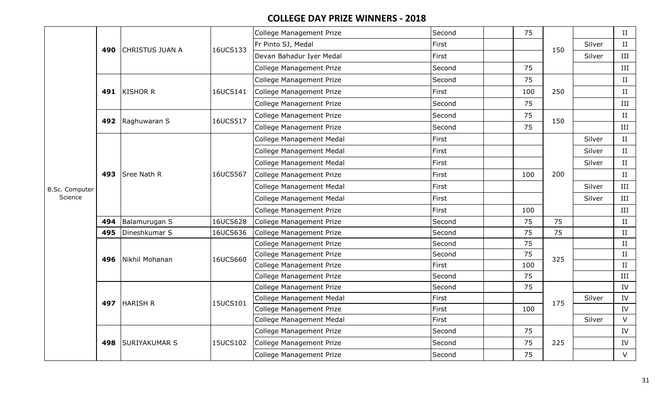|                       |     |                      |          | College Management Prize        | Second | 75  |     |        | II        |
|-----------------------|-----|----------------------|----------|---------------------------------|--------|-----|-----|--------|-----------|
|                       |     |                      | 16UCS133 | Fr Pinto SJ, Medal              | First  |     | 150 | Silver | II        |
|                       |     | 490 CHRISTUS JUAN A  |          | Devan Bahadur Iyer Medal        | First  |     |     | Silver | III       |
|                       |     |                      |          | <b>College Management Prize</b> | Second | 75  |     |        | $\rm III$ |
|                       |     |                      |          | College Management Prize        | Second | 75  |     |        | $\;$ II   |
|                       |     | 491 KISHOR R         | 16UCS141 | <b>College Management Prize</b> | First  | 100 | 250 |        | II        |
|                       |     |                      |          | College Management Prize        | Second | 75  |     |        | III       |
|                       |     |                      |          | College Management Prize        | Second | 75  | 150 |        | $\;$ II   |
|                       |     | 492 Raghuwaran S     | 16UCS517 | College Management Prize        | Second | 75  |     |        | III       |
|                       |     |                      |          | College Management Medal        | First  |     |     | Silver | II        |
|                       |     |                      |          | College Management Medal        | First  |     |     | Silver | II        |
|                       |     |                      |          | <b>College Management Medal</b> | First  |     |     | Silver | II        |
|                       |     | 493 Sree Nath R      | 16UCS567 | <b>College Management Prize</b> | First  | 100 | 200 |        | II        |
| <b>B.Sc. Computer</b> |     |                      |          | <b>College Management Medal</b> | First  |     |     | Silver | III       |
| Science               |     |                      |          | College Management Medal        | First  |     |     | Silver | III       |
|                       |     |                      |          | <b>College Management Prize</b> | First  | 100 |     |        | III       |
|                       | 494 | Balamurugan S        | 16UCS628 | College Management Prize        | Second | 75  | 75  |        | II        |
|                       | 495 | Dineshkumar S        | 16UCS636 | College Management Prize        | Second | 75  | 75  |        | II        |
|                       |     |                      |          | College Management Prize        | Second | 75  |     |        | II        |
|                       |     | 496   Nikhil Mohanan | 16UCS660 | College Management Prize        | Second | 75  | 325 |        | II        |
|                       |     |                      |          | College Management Prize        | First  | 100 |     |        | $\;$ II   |
|                       |     |                      |          | College Management Prize        | Second | 75  |     |        | III       |
|                       |     |                      |          | College Management Prize        | Second | 75  |     |        | IV        |
|                       |     | 497 HARISH R         | 15UCS101 | <b>College Management Medal</b> | First  |     | 175 | Silver | IV        |
|                       |     |                      |          | College Management Prize        | First  | 100 |     |        | IV        |
|                       |     |                      |          | <b>College Management Medal</b> | First  |     |     | Silver | $\vee$    |
|                       |     |                      |          | College Management Prize        | Second | 75  |     |        | IV        |
|                       | 498 | <b>SURIYAKUMAR S</b> | 15UCS102 | <b>College Management Prize</b> | Second | 75  | 225 |        | IV        |
|                       |     |                      |          | <b>College Management Prize</b> | Second | 75  |     |        | $\vee$    |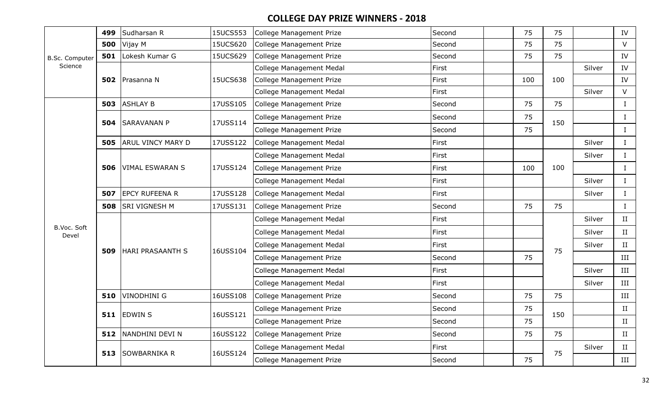|                       | 499 | Sudharsan R              | 15UCS553 | College Management Prize          | Second | 75  | 75  |        | IV                   |
|-----------------------|-----|--------------------------|----------|-----------------------------------|--------|-----|-----|--------|----------------------|
|                       | 500 | Vijay M                  | 15UCS620 | <b>College Management Prize</b>   | Second | 75  | 75  |        | $\vee$               |
| <b>B.Sc. Computer</b> | 501 | Lokesh Kumar G           | 15UCS629 | College Management Prize          | Second | 75  | 75  |        | IV                   |
| Science               |     |                          |          | College Management Medal          | First  |     |     | Silver | IV                   |
|                       |     | 502 Prasanna N           | 15UCS638 | <b>College Management Prize</b>   | First  | 100 | 100 |        | IV                   |
|                       |     |                          |          | <b>College Management Medal</b>   | First  |     |     | Silver | V                    |
|                       | 503 | <b>ASHLAY B</b>          | 17USS105 | <b>College Management Prize</b>   | Second | 75  | 75  |        | $\mathbf{I}$         |
|                       | 504 | <b>SARAVANAN P</b>       | 17USS114 | College Management Prize          | Second | 75  | 150 |        | $\mathbf{I}$         |
|                       |     |                          |          | <b>College Management Prize</b>   | Second | 75  |     |        | $\mathbf{I}$         |
|                       | 505 | <b>ARUL VINCY MARY D</b> | 17USS122 | <b>College Management Medal</b>   | First  |     |     | Silver | $\bf{I}$             |
|                       |     |                          |          | College Management Medal          | First  |     |     | Silver | $\bf{I}$             |
|                       | 506 | <b>VIMAL ESWARAN S</b>   | 17USS124 | <b>College Management Prize</b>   | First  | 100 | 100 |        | $\mathbf{I}$         |
|                       |     |                          |          | <b>College Management Medal</b>   | First  |     |     | Silver | $\mathbf{I}$         |
|                       | 507 | <b>EPCY RUFEENA R</b>    | 17USS128 | <b>College Management Medal</b>   | First  |     |     | Silver | $\mathbf{I}$         |
|                       | 508 | <b>SRI VIGNESH M</b>     | 17USS131 | <b>College Management Prize</b>   | Second | 75  | 75  |        | $\bf{I}$             |
|                       |     |                          |          | College Management Medal          | First  |     |     | Silver | II                   |
| B.Voc. Soft<br>Devel  |     |                          |          | College Management Medal          | First  |     |     | Silver | II                   |
|                       | 509 | HARI PRASAANTH S         | 16USS104 | <b>College Management Medal</b>   | First  |     | 75  | Silver | II                   |
|                       |     |                          |          | College Management Prize          | Second | 75  |     |        | III                  |
|                       |     |                          |          | College Management Medal          | First  |     |     | Silver | III                  |
|                       |     |                          |          | <b>College Management Medal</b>   | First  |     |     | Silver | III                  |
|                       | 510 | VINODHINI G              | 16USS108 | <b>College Management Prize</b>   | Second | 75  | 75  |        | III                  |
|                       |     |                          |          | College Management Prize          | Second | 75  |     |        | II                   |
|                       |     | $511$ EDWIN S            | 16USS121 | <b>College Management Prize</b>   | Second | 75  | 150 |        | II                   |
|                       | 512 | NANDHINI DEVI N          | 16USS122 | <b>College Management Prize</b>   | Second | 75  | 75  |        | $\scriptstyle\rm II$ |
|                       |     |                          |          | College Management Medal<br>First |        |     |     | Silver | II                   |
|                       | 513 | SOWBARNIKA R             | 16USS124 | College Management Prize          | Second | 75  | 75  |        | III                  |
|                       |     |                          |          |                                   |        |     |     |        |                      |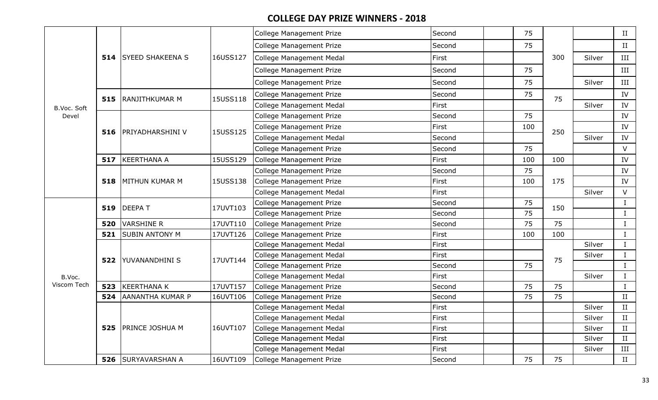|             |     |                             |          | <b>College Management Prize</b> | Second | 75  |     |        | II          |
|-------------|-----|-----------------------------|----------|---------------------------------|--------|-----|-----|--------|-------------|
|             |     |                             |          | College Management Prize        | Second | 75  |     |        | $\;$ II     |
|             |     | <b>514 SYEED SHAKEENA S</b> | 16USS127 | <b>College Management Medal</b> | First  |     | 300 | Silver | $\rm III$   |
|             |     |                             |          | College Management Prize        | Second | 75  |     |        | III         |
|             |     |                             |          | College Management Prize        | Second | 75  |     | Silver | $\rm III$   |
|             | 515 | RANJITHKUMAR M              | 15USS118 | College Management Prize        | Second | 75  | 75  |        | IV          |
| B.Voc. Soft |     |                             |          | <b>College Management Medal</b> | First  |     |     | Silver | IV          |
| Devel       |     |                             |          | <b>College Management Prize</b> | Second | 75  |     |        | IV          |
|             |     | 516   PRIYADHARSHINI V      | 15USS125 | College Management Prize        | First  | 100 | 250 |        | IV          |
|             |     |                             |          | College Management Medal        | Second |     |     | Silver | IV          |
|             |     |                             |          | College Management Prize        | Second | 75  |     |        | $\vee$      |
|             | 517 | KEERTHANA A                 | 15USS129 | College Management Prize        | First  | 100 | 100 |        | IV          |
|             |     |                             |          | College Management Prize        | Second | 75  |     |        | IV          |
|             | 518 | MITHUN KUMAR M              | 15USS138 | College Management Prize        | First  | 100 | 175 |        | IV          |
|             |     |                             |          | College Management Medal        | First  |     |     | Silver | $\vee$      |
|             | 519 | <b>DEEPAT</b>               | 17UVT103 | College Management Prize        | Second | 75  | 150 |        | $\bf I$     |
|             |     |                             |          | <b>College Management Prize</b> | Second | 75  |     |        | $\mathbf I$ |
|             | 520 | <b>VARSHINE R</b>           | 17UVT110 | <b>College Management Prize</b> | Second | 75  | 75  |        | $\bf I$     |
|             | 521 | <b>SUBIN ANTONY M</b>       | 17UVT126 | College Management Prize        | First  | 100 | 100 |        | $\rm I$     |
|             |     |                             |          | College Management Medal        | First  |     |     | Silver | $\mathbf I$ |
|             | 522 | <b>YUVANANDHINI S</b>       | 17UVT144 | College Management Medal        | First  |     | 75  | Silver | $\rm I$     |
|             |     |                             |          | College Management Prize        | Second | 75  |     |        | $\mathbf I$ |
| B.Voc.      |     |                             |          | <b>College Management Medal</b> | First  |     |     | Silver | $\bf{I}$    |
| Viscom Tech | 523 | KEERTHANA K                 | 17UVT157 | College Management Prize        | Second | 75  | 75  |        | $\mathbf I$ |
|             | 524 | AANANTHA KUMAR P            | 16UVT106 | College Management Prize        | Second | 75  | 75  |        | II          |
|             |     |                             |          | College Management Medal        | First  |     |     | Silver | $\;$ II     |
|             |     |                             |          | <b>College Management Medal</b> | First  |     |     | Silver | $\;$ II     |
|             | 525 | <b>PRINCE JOSHUA M</b>      | 16UVT107 | <b>College Management Medal</b> | First  |     |     | Silver | II          |
|             |     |                             |          | College Management Medal        | First  |     |     | Silver | $\;$ II     |
|             |     |                             |          | <b>College Management Medal</b> | First  |     |     | Silver | $\rm III$   |
|             |     | 526 SURYAVARSHAN A          | 16UVT109 | College Management Prize        | Second | 75  | 75  |        | $\;$ II     |